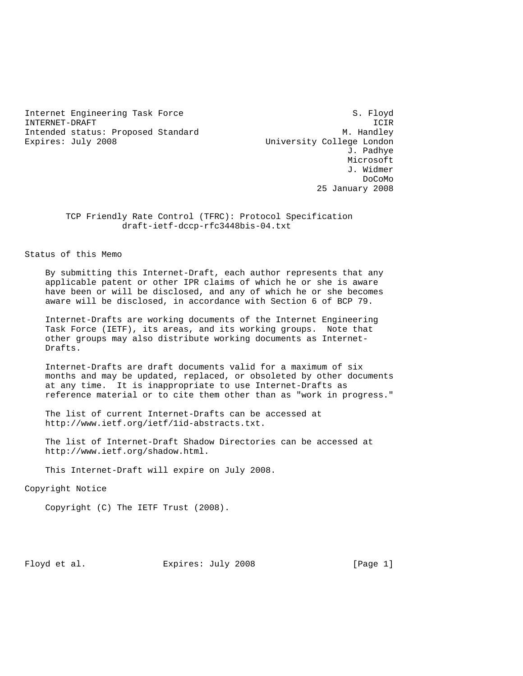Internet Engineering Task Force S. Floyd INTERNET-DRAFT ICIR Intended status: Proposed Standard M. Handley Expires: July 2008 University College London

 J. Padhye Microsoft J. Widmer de la contrada de la contrada de la contrada de la contrada de la contrada de la contrada de la contrada de la 25 January 2008

> TCP Friendly Rate Control (TFRC): Protocol Specification draft-ietf-dccp-rfc3448bis-04.txt

Status of this Memo

 By submitting this Internet-Draft, each author represents that any applicable patent or other IPR claims of which he or she is aware have been or will be disclosed, and any of which he or she becomes aware will be disclosed, in accordance with Section 6 of BCP 79.

 Internet-Drafts are working documents of the Internet Engineering Task Force (IETF), its areas, and its working groups. Note that other groups may also distribute working documents as Internet- Drafts.

 Internet-Drafts are draft documents valid for a maximum of six months and may be updated, replaced, or obsoleted by other documents at any time. It is inappropriate to use Internet-Drafts as reference material or to cite them other than as "work in progress."

 The list of current Internet-Drafts can be accessed at http://www.ietf.org/ietf/1id-abstracts.txt.

 The list of Internet-Draft Shadow Directories can be accessed at http://www.ietf.org/shadow.html.

This Internet-Draft will expire on July 2008.

Copyright Notice

Copyright (C) The IETF Trust (2008).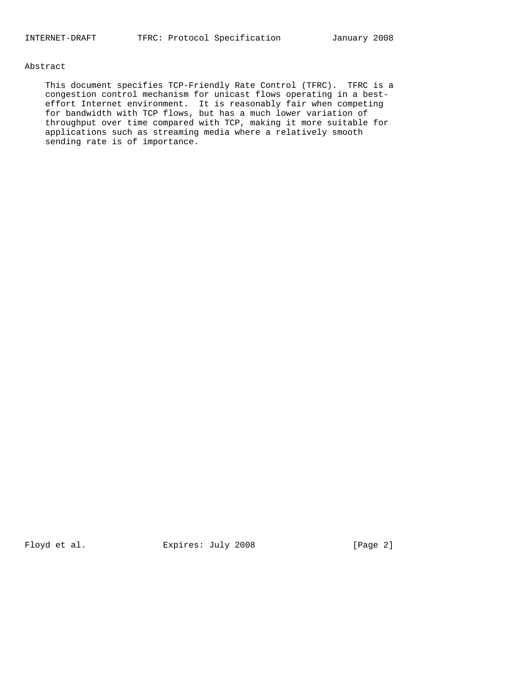# Abstract

 This document specifies TCP-Friendly Rate Control (TFRC). TFRC is a congestion control mechanism for unicast flows operating in a best effort Internet environment. It is reasonably fair when competing for bandwidth with TCP flows, but has a much lower variation of throughput over time compared with TCP, making it more suitable for applications such as streaming media where a relatively smooth sending rate is of importance.

Floyd et al. Expires: July 2008 [Page 2]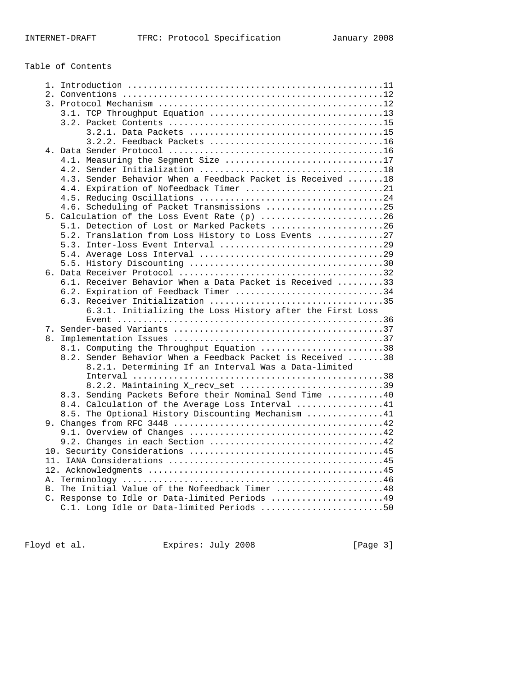# Table of Contents

| 4.1. Measuring the Segment Size 17                                                         |
|--------------------------------------------------------------------------------------------|
|                                                                                            |
| 4.3. Sender Behavior When a Feedback Packet is Received  18                                |
| 4.4. Expiration of Nofeedback Timer 21                                                     |
|                                                                                            |
| 4.6. Scheduling of Packet Transmissions 25                                                 |
| 5. Calculation of the Loss Event Rate (p) 26                                               |
| 5.1. Detection of Lost or Marked Packets 26                                                |
| 5.2. Translation from Loss History to Loss Events 27                                       |
|                                                                                            |
|                                                                                            |
|                                                                                            |
|                                                                                            |
| 6.1. Receiver Behavior When a Data Packet is Received 33                                   |
| 6.2. Expiration of Feedback Timer 34                                                       |
|                                                                                            |
| 6.3.1. Initializing the Loss History after the First Loss                                  |
| Event $\dots\dots\dots\dots\dots\dots\dots\dots\dots\dots\dots\dots\dots\dots\dots\dots36$ |
|                                                                                            |
|                                                                                            |
| 8.1. Computing the Throughput Equation 38                                                  |
| 8.2. Sender Behavior When a Feedback Packet is Received 38                                 |
| 8.2.1. Determining If an Interval Was a Data-limited                                       |
|                                                                                            |
| 8.2.2. Maintaining X_recv_set 39                                                           |
| 8.3. Sending Packets Before their Nominal Send Time 40                                     |
| 8.4. Calculation of the Average Loss Interval 41                                           |
| 8.5. The Optional History Discounting Mechanism 41                                         |
|                                                                                            |
|                                                                                            |
|                                                                                            |
|                                                                                            |
|                                                                                            |
|                                                                                            |
|                                                                                            |
| B. The Initial Value of the Nofeedback Timer 48                                            |
| C. Response to Idle or Data-limited Periods 49                                             |
| C.1. Long Idle or Data-limited Periods 50                                                  |
|                                                                                            |

Floyd et al. Expires: July 2008 [Page 3]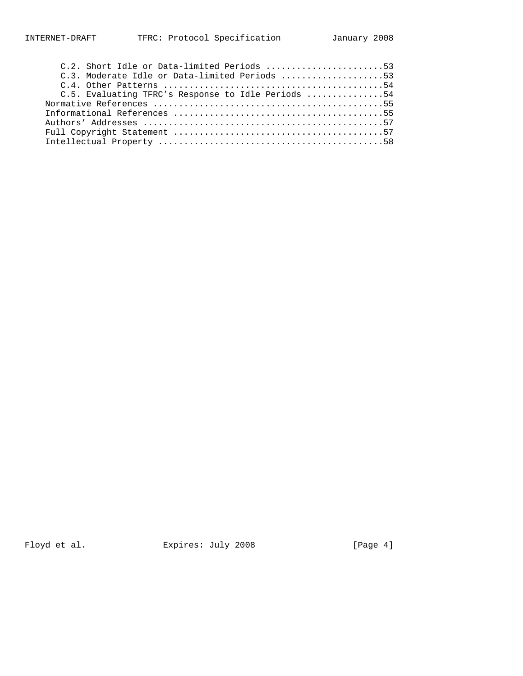| C.2. Short Idle or Data-limited Periods 53         |  |
|----------------------------------------------------|--|
| C.3. Moderate Idle or Data-limited Periods 53      |  |
|                                                    |  |
| C.5. Evaluating TFRC's Response to Idle Periods 54 |  |
|                                                    |  |
|                                                    |  |
|                                                    |  |
|                                                    |  |
|                                                    |  |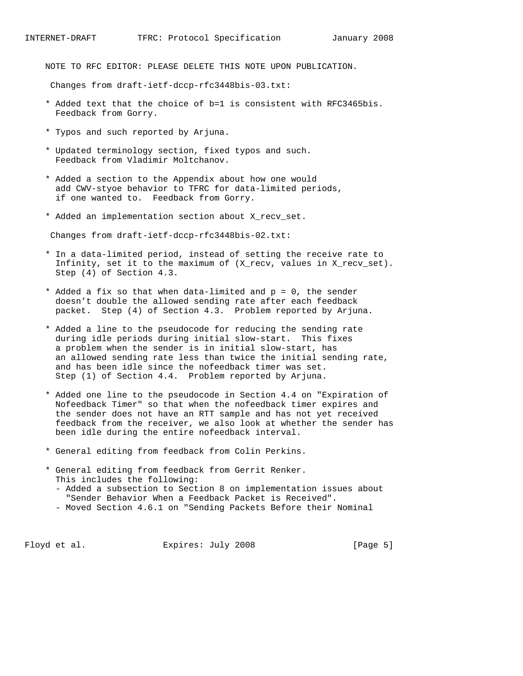NOTE TO RFC EDITOR: PLEASE DELETE THIS NOTE UPON PUBLICATION.

Changes from draft-ietf-dccp-rfc3448bis-03.txt:

- \* Added text that the choice of b=1 is consistent with RFC3465bis. Feedback from Gorry.
- \* Typos and such reported by Arjuna.
- \* Updated terminology section, fixed typos and such. Feedback from Vladimir Moltchanov.
- \* Added a section to the Appendix about how one would add CWV-styoe behavior to TFRC for data-limited periods, if one wanted to. Feedback from Gorry.
- \* Added an implementation section about X\_recv\_set.

Changes from draft-ietf-dccp-rfc3448bis-02.txt:

- \* In a data-limited period, instead of setting the receive rate to Infinity, set it to the maximum of (X\_recv, values in X\_recv\_set). Step (4) of Section 4.3.
- \* Added a fix so that when data-limited and p = 0, the sender doesn't double the allowed sending rate after each feedback packet. Step (4) of Section 4.3. Problem reported by Arjuna.
- \* Added a line to the pseudocode for reducing the sending rate during idle periods during initial slow-start. This fixes a problem when the sender is in initial slow-start, has an allowed sending rate less than twice the initial sending rate, and has been idle since the nofeedback timer was set. Step (1) of Section 4.4. Problem reported by Arjuna.
- \* Added one line to the pseudocode in Section 4.4 on "Expiration of Nofeedback Timer" so that when the nofeedback timer expires and the sender does not have an RTT sample and has not yet received feedback from the receiver, we also look at whether the sender has been idle during the entire nofeedback interval.
- \* General editing from feedback from Colin Perkins.
- \* General editing from feedback from Gerrit Renker. This includes the following:
	- Added a subsection to Section 8 on implementation issues about "Sender Behavior When a Feedback Packet is Received".
	- Moved Section 4.6.1 on "Sending Packets Before their Nominal

Floyd et al. Expires: July 2008 [Page 5]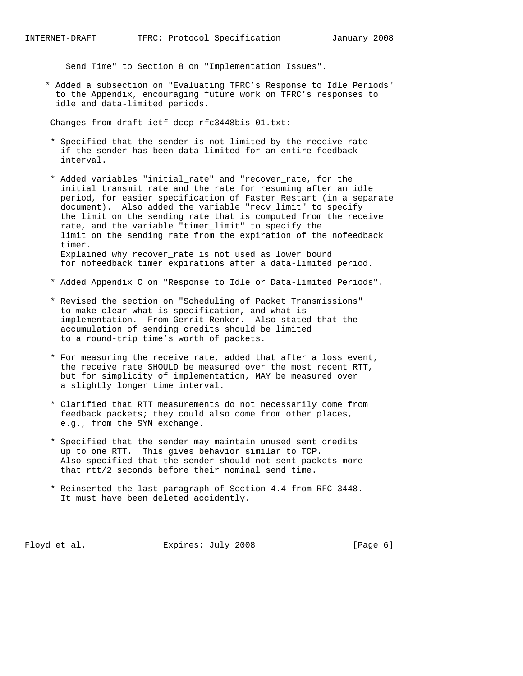Send Time" to Section 8 on "Implementation Issues".

 \* Added a subsection on "Evaluating TFRC's Response to Idle Periods" to the Appendix, encouraging future work on TFRC's responses to idle and data-limited periods.

Changes from draft-ietf-dccp-rfc3448bis-01.txt:

- \* Specified that the sender is not limited by the receive rate if the sender has been data-limited for an entire feedback interval.
- \* Added variables "initial\_rate" and "recover\_rate, for the initial transmit rate and the rate for resuming after an idle period, for easier specification of Faster Restart (in a separate document). Also added the variable "recv\_limit" to specify the limit on the sending rate that is computed from the receive rate, and the variable "timer\_limit" to specify the limit on the sending rate from the expiration of the nofeedback timer. Explained why recover\_rate is not used as lower bound for nofeedback timer expirations after a data-limited period.
- \* Added Appendix C on "Response to Idle or Data-limited Periods".
- \* Revised the section on "Scheduling of Packet Transmissions" to make clear what is specification, and what is implementation. From Gerrit Renker. Also stated that the accumulation of sending credits should be limited to a round-trip time's worth of packets.
- \* For measuring the receive rate, added that after a loss event, the receive rate SHOULD be measured over the most recent RTT, but for simplicity of implementation, MAY be measured over a slightly longer time interval.
- \* Clarified that RTT measurements do not necessarily come from feedback packets; they could also come from other places, e.g., from the SYN exchange.
- \* Specified that the sender may maintain unused sent credits up to one RTT. This gives behavior similar to TCP. Also specified that the sender should not sent packets more that rtt/2 seconds before their nominal send time.
- \* Reinserted the last paragraph of Section 4.4 from RFC 3448. It must have been deleted accidently.

Floyd et al. Expires: July 2008 [Page 6]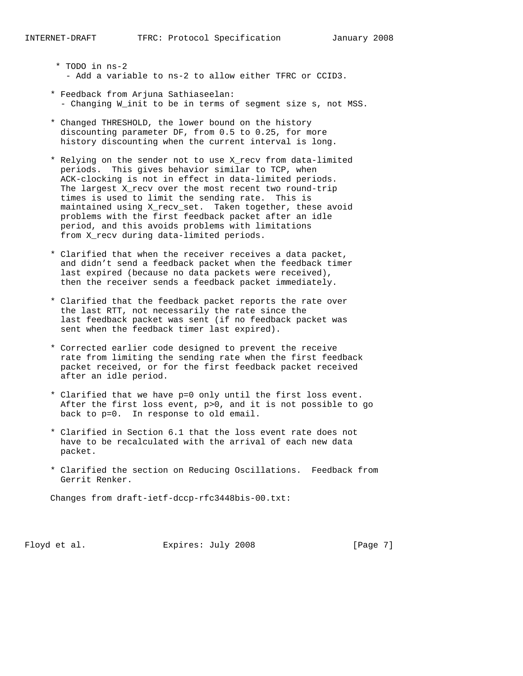- \* TODO in ns-2 - Add a variable to ns-2 to allow either TFRC or CCID3.
- \* Feedback from Arjuna Sathiaseelan: - Changing W\_init to be in terms of segment size s, not MSS.
- \* Changed THRESHOLD, the lower bound on the history discounting parameter DF, from 0.5 to 0.25, for more history discounting when the current interval is long.
- \* Relying on the sender not to use X\_recv from data-limited periods. This gives behavior similar to TCP, when ACK-clocking is not in effect in data-limited periods. The largest X\_recv over the most recent two round-trip times is used to limit the sending rate. This is maintained using X\_recv\_set. Taken together, these avoid problems with the first feedback packet after an idle period, and this avoids problems with limitations from X\_recv during data-limited periods.
- \* Clarified that when the receiver receives a data packet, and didn't send a feedback packet when the feedback timer last expired (because no data packets were received), then the receiver sends a feedback packet immediately.
- \* Clarified that the feedback packet reports the rate over the last RTT, not necessarily the rate since the last feedback packet was sent (if no feedback packet was sent when the feedback timer last expired).
- \* Corrected earlier code designed to prevent the receive rate from limiting the sending rate when the first feedback packet received, or for the first feedback packet received after an idle period.
- \* Clarified that we have p=0 only until the first loss event. After the first loss event, p>0, and it is not possible to go back to p=0. In response to old email.
- \* Clarified in Section 6.1 that the loss event rate does not have to be recalculated with the arrival of each new data packet.
- \* Clarified the section on Reducing Oscillations. Feedback from Gerrit Renker.

Changes from draft-ietf-dccp-rfc3448bis-00.txt:

Floyd et al. Expires: July 2008 [Page 7]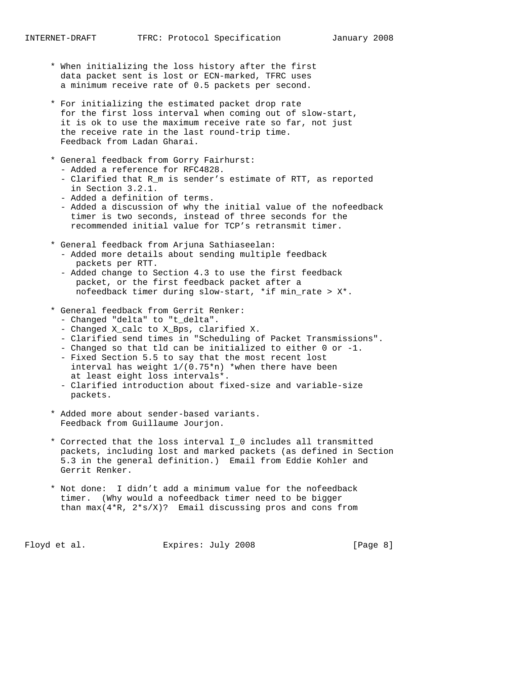- \* When initializing the loss history after the first data packet sent is lost or ECN-marked, TFRC uses a minimum receive rate of 0.5 packets per second.
- \* For initializing the estimated packet drop rate for the first loss interval when coming out of slow-start, it is ok to use the maximum receive rate so far, not just the receive rate in the last round-trip time. Feedback from Ladan Gharai.
- \* General feedback from Gorry Fairhurst:
	- Added a reference for RFC4828.
	- Clarified that R\_m is sender's estimate of RTT, as reported in Section 3.2.1.
	- Added a definition of terms.
	- Added a discussion of why the initial value of the nofeedback timer is two seconds, instead of three seconds for the recommended initial value for TCP's retransmit timer.
- \* General feedback from Arjuna Sathiaseelan:
	- Added more details about sending multiple feedback packets per RTT.
	- Added change to Section 4.3 to use the first feedback packet, or the first feedback packet after a nofeedback timer during slow-start, \*if min\_rate > X\*.
- \* General feedback from Gerrit Renker:
	- Changed "delta" to "t\_delta".
- Changed X\_calc to X\_Bps, clarified X.
- Clarified send times in "Scheduling of Packet Transmissions".
	- Changed so that tld can be initialized to either 0 or -1.
	- Fixed Section 5.5 to say that the most recent lost interval has weight 1/(0.75\*n) \*when there have been at least eight loss intervals\*.
	- Clarified introduction about fixed-size and variable-size packets.
	- \* Added more about sender-based variants. Feedback from Guillaume Jourjon.
	- \* Corrected that the loss interval I\_0 includes all transmitted packets, including lost and marked packets (as defined in Section 5.3 in the general definition.) Email from Eddie Kohler and Gerrit Renker.
	- \* Not done: I didn't add a minimum value for the nofeedback timer. (Why would a nofeedback timer need to be bigger than  $max(4*R, 2*s/X)$ ? Email discussing pros and cons from

Floyd et al. Expires: July 2008 [Page 8]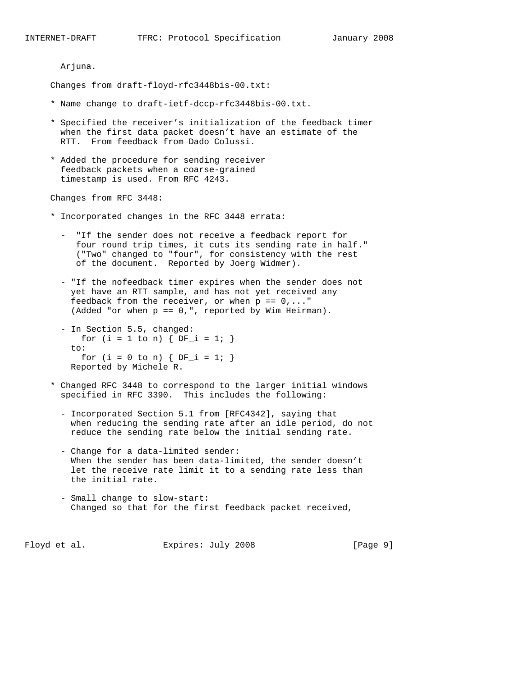Arjuna.

Changes from draft-floyd-rfc3448bis-00.txt:

- \* Name change to draft-ietf-dccp-rfc3448bis-00.txt.
- \* Specified the receiver's initialization of the feedback timer when the first data packet doesn't have an estimate of the RTT. From feedback from Dado Colussi.
- \* Added the procedure for sending receiver feedback packets when a coarse-grained timestamp is used. From RFC 4243.

Changes from RFC 3448:

- \* Incorporated changes in the RFC 3448 errata:
	- "If the sender does not receive a feedback report for four round trip times, it cuts its sending rate in half." ("Two" changed to "four", for consistency with the rest of the document. Reported by Joerg Widmer).
	- "If the nofeedback timer expires when the sender does not yet have an RTT sample, and has not yet received any feedback from the receiver, or when  $p == 0, ...$ (Added "or when p == 0,", reported by Wim Heirman).
	- In Section 5.5, changed: for  $(i = 1 to n)$  {  $DF_i = 1;$  } to: for  $(i = 0 \text{ to } n)$  {  $DF_i = 1;$  } Reported by Michele R.
- \* Changed RFC 3448 to correspond to the larger initial windows specified in RFC 3390. This includes the following:
	- Incorporated Section 5.1 from [RFC4342], saying that when reducing the sending rate after an idle period, do not reduce the sending rate below the initial sending rate.
	- Change for a data-limited sender: When the sender has been data-limited, the sender doesn't let the receive rate limit it to a sending rate less than the initial rate.
	- Small change to slow-start: Changed so that for the first feedback packet received,

Floyd et al. Expires: July 2008 [Page 9]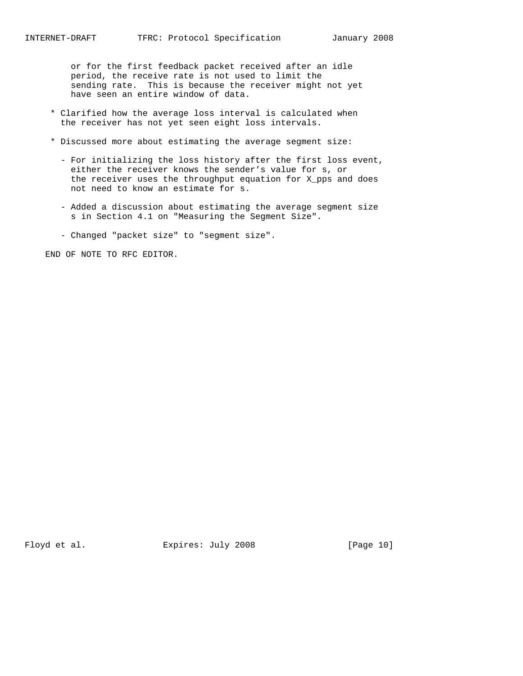or for the first feedback packet received after an idle period, the receive rate is not used to limit the sending rate. This is because the receiver might not yet have seen an entire window of data.

- \* Clarified how the average loss interval is calculated when the receiver has not yet seen eight loss intervals.
- \* Discussed more about estimating the average segment size:
	- For initializing the loss history after the first loss event, either the receiver knows the sender's value for s, or the receiver uses the throughput equation for X\_pps and does not need to know an estimate for s.
	- Added a discussion about estimating the average segment size s in Section 4.1 on "Measuring the Segment Size".
	- Changed "packet size" to "segment size".

END OF NOTE TO RFC EDITOR.

Floyd et al. Expires: July 2008 [Page 10]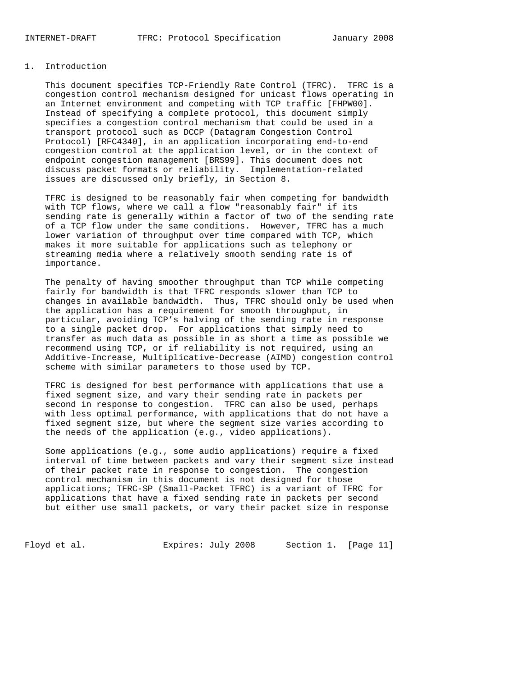### 1. Introduction

 This document specifies TCP-Friendly Rate Control (TFRC). TFRC is a congestion control mechanism designed for unicast flows operating in an Internet environment and competing with TCP traffic [FHPW00]. Instead of specifying a complete protocol, this document simply specifies a congestion control mechanism that could be used in a transport protocol such as DCCP (Datagram Congestion Control Protocol) [RFC4340], in an application incorporating end-to-end congestion control at the application level, or in the context of endpoint congestion management [BRS99]. This document does not discuss packet formats or reliability. Implementation-related issues are discussed only briefly, in Section 8.

 TFRC is designed to be reasonably fair when competing for bandwidth with TCP flows, where we call a flow "reasonably fair" if its sending rate is generally within a factor of two of the sending rate of a TCP flow under the same conditions. However, TFRC has a much lower variation of throughput over time compared with TCP, which makes it more suitable for applications such as telephony or streaming media where a relatively smooth sending rate is of importance.

 The penalty of having smoother throughput than TCP while competing fairly for bandwidth is that TFRC responds slower than TCP to changes in available bandwidth. Thus, TFRC should only be used when the application has a requirement for smooth throughput, in particular, avoiding TCP's halving of the sending rate in response to a single packet drop. For applications that simply need to transfer as much data as possible in as short a time as possible we recommend using TCP, or if reliability is not required, using an Additive-Increase, Multiplicative-Decrease (AIMD) congestion control scheme with similar parameters to those used by TCP.

 TFRC is designed for best performance with applications that use a fixed segment size, and vary their sending rate in packets per second in response to congestion. TFRC can also be used, perhaps with less optimal performance, with applications that do not have a fixed segment size, but where the segment size varies according to the needs of the application (e.g., video applications).

 Some applications (e.g., some audio applications) require a fixed interval of time between packets and vary their segment size instead of their packet rate in response to congestion. The congestion control mechanism in this document is not designed for those applications; TFRC-SP (Small-Packet TFRC) is a variant of TFRC for applications that have a fixed sending rate in packets per second but either use small packets, or vary their packet size in response

Floyd et al. Expires: July 2008 Section 1. [Page 11]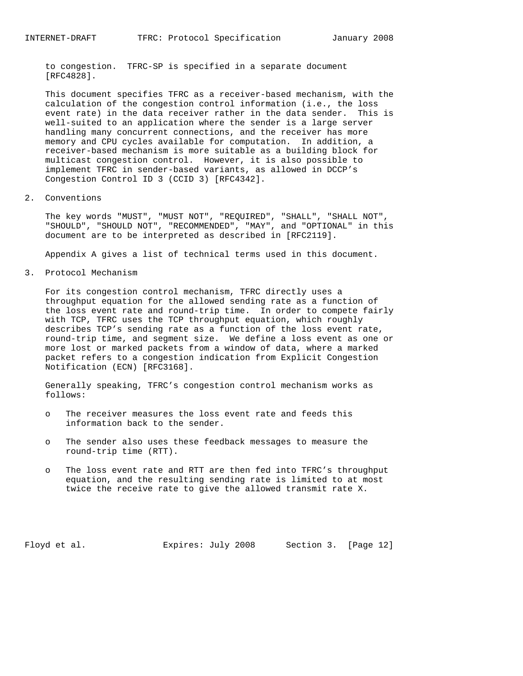to congestion. TFRC-SP is specified in a separate document [RFC4828].

 This document specifies TFRC as a receiver-based mechanism, with the calculation of the congestion control information (i.e., the loss event rate) in the data receiver rather in the data sender. This is well-suited to an application where the sender is a large server handling many concurrent connections, and the receiver has more memory and CPU cycles available for computation. In addition, a receiver-based mechanism is more suitable as a building block for multicast congestion control. However, it is also possible to implement TFRC in sender-based variants, as allowed in DCCP's Congestion Control ID 3 (CCID 3) [RFC4342].

### 2. Conventions

 The key words "MUST", "MUST NOT", "REQUIRED", "SHALL", "SHALL NOT", "SHOULD", "SHOULD NOT", "RECOMMENDED", "MAY", and "OPTIONAL" in this document are to be interpreted as described in [RFC2119].

Appendix A gives a list of technical terms used in this document.

3. Protocol Mechanism

 For its congestion control mechanism, TFRC directly uses a throughput equation for the allowed sending rate as a function of the loss event rate and round-trip time. In order to compete fairly with TCP, TFRC uses the TCP throughput equation, which roughly describes TCP's sending rate as a function of the loss event rate, round-trip time, and segment size. We define a loss event as one or more lost or marked packets from a window of data, where a marked packet refers to a congestion indication from Explicit Congestion Notification (ECN) [RFC3168].

 Generally speaking, TFRC's congestion control mechanism works as follows:

- o The receiver measures the loss event rate and feeds this information back to the sender.
- o The sender also uses these feedback messages to measure the round-trip time (RTT).
- o The loss event rate and RTT are then fed into TFRC's throughput equation, and the resulting sending rate is limited to at most twice the receive rate to give the allowed transmit rate X.

Floyd et al. **Expires:** July 2008 Section 3. [Page 12]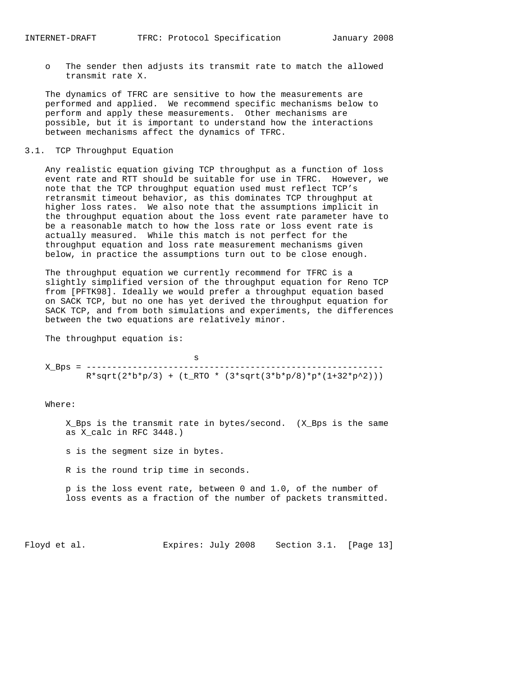o The sender then adjusts its transmit rate to match the allowed transmit rate X.

 The dynamics of TFRC are sensitive to how the measurements are performed and applied. We recommend specific mechanisms below to perform and apply these measurements. Other mechanisms are possible, but it is important to understand how the interactions between mechanisms affect the dynamics of TFRC.

### 3.1. TCP Throughput Equation

 Any realistic equation giving TCP throughput as a function of loss event rate and RTT should be suitable for use in TFRC. However, we note that the TCP throughput equation used must reflect TCP's retransmit timeout behavior, as this dominates TCP throughput at higher loss rates. We also note that the assumptions implicit in the throughput equation about the loss event rate parameter have to be a reasonable match to how the loss rate or loss event rate is actually measured. While this match is not perfect for the throughput equation and loss rate measurement mechanisms given below, in practice the assumptions turn out to be close enough.

 The throughput equation we currently recommend for TFRC is a slightly simplified version of the throughput equation for Reno TCP from [PFTK98]. Ideally we would prefer a throughput equation based on SACK TCP, but no one has yet derived the throughput equation for SACK TCP, and from both simulations and experiments, the differences between the two equations are relatively minor.

The throughput equation is:

 s X\_Bps = ----------------------------------------------------------  $R*sqrt(2*b*p/3) + (t_RTO * (3*sqrt(3*b*p/8)*p*(1+32*p^2)))$ 

Where:

 X\_Bps is the transmit rate in bytes/second. (X\_Bps is the same as X\_calc in RFC 3448.)

s is the segment size in bytes.

R is the round trip time in seconds.

 p is the loss event rate, between 0 and 1.0, of the number of loss events as a fraction of the number of packets transmitted.

Floyd et al. Expires: July 2008 Section 3.1. [Page 13]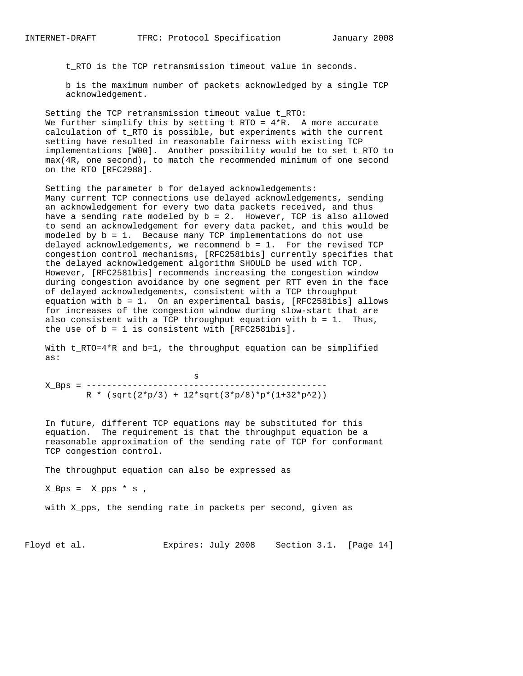t\_RTO is the TCP retransmission timeout value in seconds.

 b is the maximum number of packets acknowledged by a single TCP acknowledgement.

 Setting the TCP retransmission timeout value t\_RTO: We further simplify this by setting  $t_RTO = 4*R$ . A more accurate calculation of t\_RTO is possible, but experiments with the current setting have resulted in reasonable fairness with existing TCP implementations [W00]. Another possibility would be to set t\_RTO to max(4R, one second), to match the recommended minimum of one second on the RTO [RFC2988].

 Setting the parameter b for delayed acknowledgements: Many current TCP connections use delayed acknowledgements, sending an acknowledgement for every two data packets received, and thus have a sending rate modeled by b = 2. However, TCP is also allowed to send an acknowledgement for every data packet, and this would be modeled by b = 1. Because many TCP implementations do not use delayed acknowledgements, we recommend  $b = 1$ . For the revised TCP congestion control mechanisms, [RFC2581bis] currently specifies that the delayed acknowledgement algorithm SHOULD be used with TCP. However, [RFC2581bis] recommends increasing the congestion window during congestion avoidance by one segment per RTT even in the face of delayed acknowledgements, consistent with a TCP throughput equation with b = 1. On an experimental basis, [RFC2581bis] allows for increases of the congestion window during slow-start that are also consistent with a TCP throughput equation with  $b = 1$ . Thus, the use of  $b = 1$  is consistent with  $[RFC2581bis]$ .

 With t\_RTO=4\*R and b=1, the throughput equation can be simplified as:

 s X\_Bps = -----------------------------------------------  $R * (sqrt(2*p/3) + 12*sqrt(3*p/8)*p*(1+32*p^2))$ 

 In future, different TCP equations may be substituted for this equation. The requirement is that the throughput equation be a reasonable approximation of the sending rate of TCP for conformant TCP congestion control.

The throughput equation can also be expressed as

 $X_Bps = X_pps * s$ ,

with X\_pps, the sending rate in packets per second, given as

Floyd et al. Expires: July 2008 Section 3.1. [Page 14]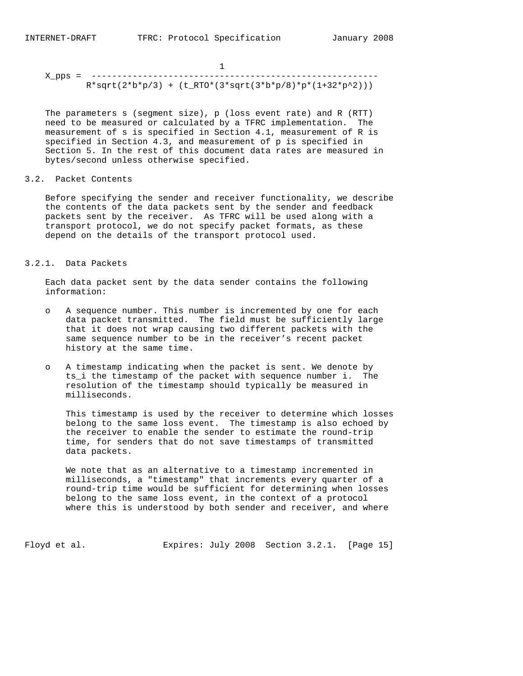X\_pps = --------------------------------------------------------  $R*sqrt(2*b*p/3) + (t_RTO*(3*sqrt(3*b*p/8)*p*(1+32*p^2)))$ 

 The parameters s (segment size), p (loss event rate) and R (RTT) need to be measured or calculated by a TFRC implementation. The measurement of s is specified in Section 4.1, measurement of R is specified in Section 4.3, and measurement of p is specified in Section 5. In the rest of this document data rates are measured in bytes/second unless otherwise specified.

3.2. Packet Contents

 Before specifying the sender and receiver functionality, we describe the contents of the data packets sent by the sender and feedback packets sent by the receiver. As TFRC will be used along with a transport protocol, we do not specify packet formats, as these depend on the details of the transport protocol used.

#### 3.2.1. Data Packets

 Each data packet sent by the data sender contains the following information:

- o A sequence number. This number is incremented by one for each data packet transmitted. The field must be sufficiently large that it does not wrap causing two different packets with the same sequence number to be in the receiver's recent packet history at the same time.
- o A timestamp indicating when the packet is sent. We denote by ts\_i the timestamp of the packet with sequence number i. The resolution of the timestamp should typically be measured in milliseconds.

 This timestamp is used by the receiver to determine which losses belong to the same loss event. The timestamp is also echoed by the receiver to enable the sender to estimate the round-trip time, for senders that do not save timestamps of transmitted data packets.

 We note that as an alternative to a timestamp incremented in milliseconds, a "timestamp" that increments every quarter of a round-trip time would be sufficient for determining when losses belong to the same loss event, in the context of a protocol where this is understood by both sender and receiver, and where

Floyd et al. Expires: July 2008 Section 3.2.1. [Page 15]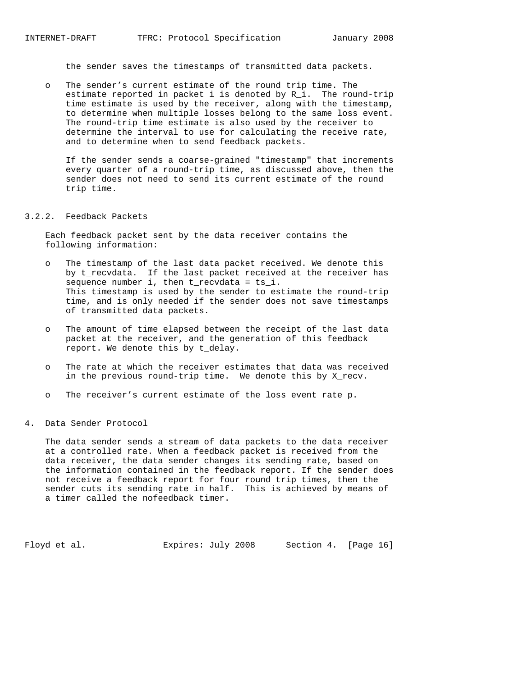the sender saves the timestamps of transmitted data packets.

 o The sender's current estimate of the round trip time. The estimate reported in packet i is denoted by R\_i. The round-trip time estimate is used by the receiver, along with the timestamp, to determine when multiple losses belong to the same loss event. The round-trip time estimate is also used by the receiver to determine the interval to use for calculating the receive rate, and to determine when to send feedback packets.

 If the sender sends a coarse-grained "timestamp" that increments every quarter of a round-trip time, as discussed above, then the sender does not need to send its current estimate of the round trip time.

#### 3.2.2. Feedback Packets

 Each feedback packet sent by the data receiver contains the following information:

- o The timestamp of the last data packet received. We denote this by t\_recvdata. If the last packet received at the receiver has sequence number i, then t\_recvdata = ts\_i. This timestamp is used by the sender to estimate the round-trip time, and is only needed if the sender does not save timestamps of transmitted data packets.
- o The amount of time elapsed between the receipt of the last data packet at the receiver, and the generation of this feedback report. We denote this by t delay.
- o The rate at which the receiver estimates that data was received in the previous round-trip time. We denote this by X\_recv.
- o The receiver's current estimate of the loss event rate p.

### 4. Data Sender Protocol

 The data sender sends a stream of data packets to the data receiver at a controlled rate. When a feedback packet is received from the data receiver, the data sender changes its sending rate, based on the information contained in the feedback report. If the sender does not receive a feedback report for four round trip times, then the sender cuts its sending rate in half. This is achieved by means of a timer called the nofeedback timer.

Floyd et al. **Expires:** July 2008 Section 4. [Page 16]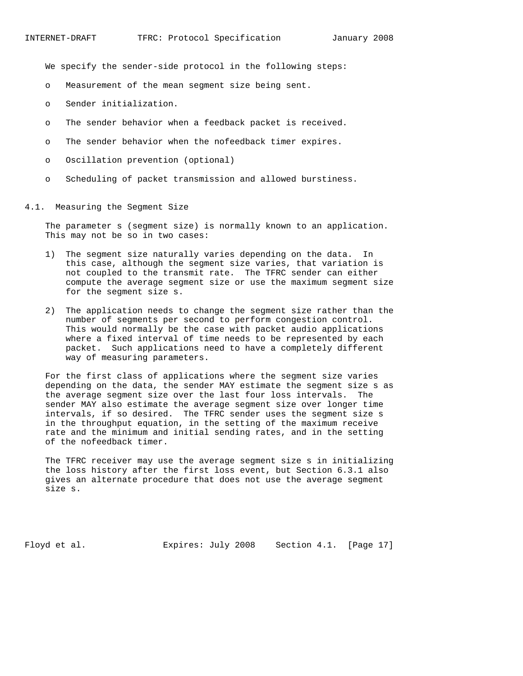We specify the sender-side protocol in the following steps:

- o Measurement of the mean segment size being sent.
- o Sender initialization.
- o The sender behavior when a feedback packet is received.
- o The sender behavior when the nofeedback timer expires.
- o Oscillation prevention (optional)
- o Scheduling of packet transmission and allowed burstiness.

### 4.1. Measuring the Segment Size

 The parameter s (segment size) is normally known to an application. This may not be so in two cases:

- 1) The segment size naturally varies depending on the data. In this case, although the segment size varies, that variation is not coupled to the transmit rate. The TFRC sender can either compute the average segment size or use the maximum segment size for the segment size s.
- 2) The application needs to change the segment size rather than the number of segments per second to perform congestion control. This would normally be the case with packet audio applications where a fixed interval of time needs to be represented by each packet. Such applications need to have a completely different way of measuring parameters.

 For the first class of applications where the segment size varies depending on the data, the sender MAY estimate the segment size s as the average segment size over the last four loss intervals. The sender MAY also estimate the average segment size over longer time intervals, if so desired. The TFRC sender uses the segment size s in the throughput equation, in the setting of the maximum receive rate and the minimum and initial sending rates, and in the setting of the nofeedback timer.

 The TFRC receiver may use the average segment size s in initializing the loss history after the first loss event, but Section 6.3.1 also gives an alternate procedure that does not use the average segment size s.

Floyd et al. Expires: July 2008 Section 4.1. [Page 17]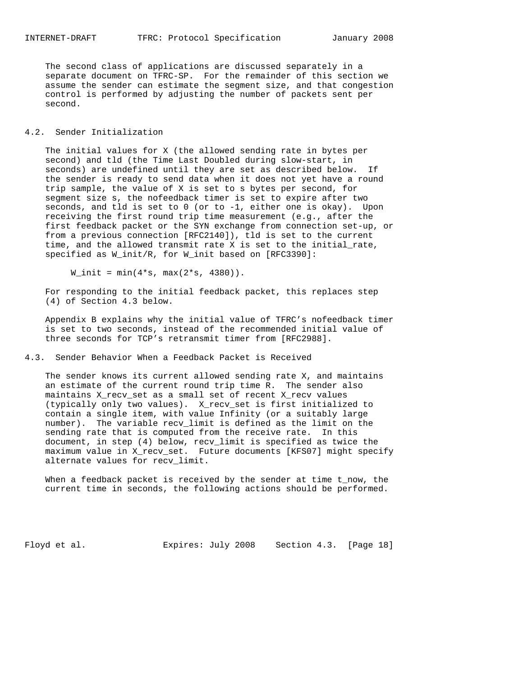The second class of applications are discussed separately in a separate document on TFRC-SP. For the remainder of this section we assume the sender can estimate the segment size, and that congestion control is performed by adjusting the number of packets sent per second.

### 4.2. Sender Initialization

 The initial values for X (the allowed sending rate in bytes per second) and tld (the Time Last Doubled during slow-start, in seconds) are undefined until they are set as described below. If the sender is ready to send data when it does not yet have a round trip sample, the value of X is set to s bytes per second, for segment size s, the nofeedback timer is set to expire after two seconds, and tld is set to 0 (or to -1, either one is okay). Upon receiving the first round trip time measurement (e.g., after the first feedback packet or the SYN exchange from connection set-up, or from a previous connection [RFC2140]), tld is set to the current time, and the allowed transmit rate X is set to the initial\_rate, specified as W\_init/R, for W\_init based on [RFC3390]:

 $W_$ init = min( $4*s$ , max( $2*s$ , 4380)).

 For responding to the initial feedback packet, this replaces step (4) of Section 4.3 below.

 Appendix B explains why the initial value of TFRC's nofeedback timer is set to two seconds, instead of the recommended initial value of three seconds for TCP's retransmit timer from [RFC2988].

### 4.3. Sender Behavior When a Feedback Packet is Received

 The sender knows its current allowed sending rate X, and maintains an estimate of the current round trip time R. The sender also maintains X\_recv\_set as a small set of recent X\_recv values (typically only two values). X\_recv\_set is first initialized to contain a single item, with value Infinity (or a suitably large number). The variable recv\_limit is defined as the limit on the sending rate that is computed from the receive rate. In this document, in step (4) below, recv\_limit is specified as twice the maximum value in X\_recv\_set. Future documents [KFS07] might specify alternate values for recv\_limit.

When a feedback packet is received by the sender at time t\_now, the current time in seconds, the following actions should be performed.

Floyd et al. Expires: July 2008 Section 4.3. [Page 18]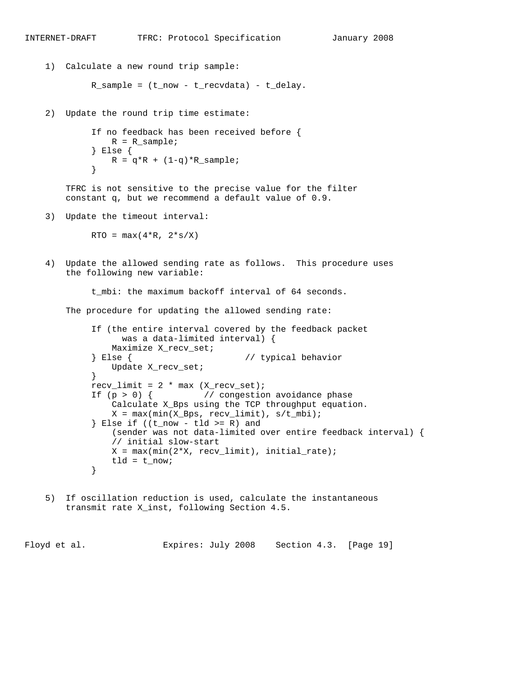```
INTERNET-DRAFT TFRC: Protocol Specification January 2008
    1) Calculate a new round trip sample:
            R_sample = (t_now - t_recvdata) - t_delay.
    2) Update the round trip time estimate:
             If no feedback has been received before {
                R = R sample;
             } Else {
            R = q^*R + (1-q)^*R_sample;<br>}
 }
        TFRC is not sensitive to the precise value for the filter
        constant q, but we recommend a default value of 0.9.
    3) Update the timeout interval:
            RTO = max(4*R, 2*s/X) 4) Update the allowed sending rate as follows. This procedure uses
        the following new variable:
             t_mbi: the maximum backoff interval of 64 seconds.
        The procedure for updating the allowed sending rate:
             If (the entire interval covered by the feedback packet
                   was a data-limited interval) {
                 Maximize X_recv_set;
             } Else { // typical behavior
                 Update X_recv_set;
 }
            recv_limit = 2 * max (X_recv_set);If (p > 0) { // congestion avoidance phase
                 Calculate X_Bps using the TCP throughput equation.
                X = max(min(X_Bps, recv_limit), s/t_mbi);} Else if ((t_now - tld >= R) and
                 (sender was not data-limited over entire feedback interval) {
                 // initial slow-start
                X = max(min(2*X, recv_limit), initial_rate);tld = t_{now}; }
    5) If oscillation reduction is used, calculate the instantaneous
        transmit rate X_inst, following Section 4.5.
```
Floyd et al. Expires: July 2008 Section 4.3. [Page 19]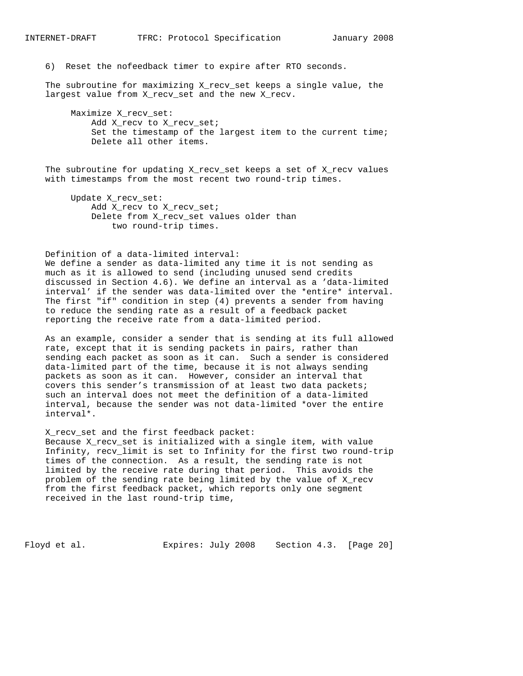6) Reset the nofeedback timer to expire after RTO seconds.

 The subroutine for maximizing X\_recv\_set keeps a single value, the largest value from X\_recv\_set and the new X\_recv.

 Maximize X\_recv\_set: Add X\_recv to X\_recv\_set; Set the timestamp of the largest item to the current time; Delete all other items.

The subroutine for updating X\_recv\_set keeps a set of X\_recv values with timestamps from the most recent two round-trip times.

 Update X\_recv\_set: Add X\_recv to X\_recv\_set; Delete from X\_recv\_set values older than two round-trip times.

Definition of a data-limited interval:

 We define a sender as data-limited any time it is not sending as much as it is allowed to send (including unused send credits discussed in Section 4.6). We define an interval as a 'data-limited interval' if the sender was data-limited over the \*entire\* interval. The first "if" condition in step (4) prevents a sender from having to reduce the sending rate as a result of a feedback packet reporting the receive rate from a data-limited period.

 As an example, consider a sender that is sending at its full allowed rate, except that it is sending packets in pairs, rather than sending each packet as soon as it can. Such a sender is considered data-limited part of the time, because it is not always sending packets as soon as it can. However, consider an interval that covers this sender's transmission of at least two data packets; such an interval does not meet the definition of a data-limited interval, because the sender was not data-limited \*over the entire interval\*.

 X\_recv\_set and the first feedback packet: Because X\_recv\_set is initialized with a single item, with value Infinity, recv\_limit is set to Infinity for the first two round-trip times of the connection. As a result, the sending rate is not limited by the receive rate during that period. This avoids the problem of the sending rate being limited by the value of X\_recv from the first feedback packet, which reports only one segment received in the last round-trip time,

Floyd et al. Expires: July 2008 Section 4.3. [Page 20]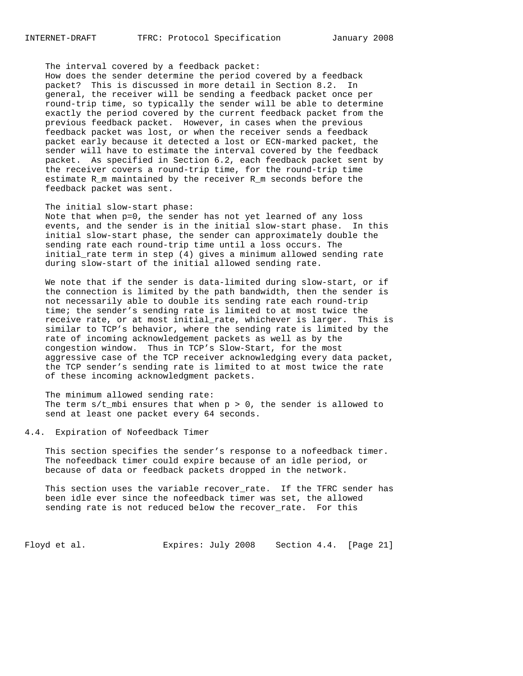The interval covered by a feedback packet:

 How does the sender determine the period covered by a feedback packet? This is discussed in more detail in Section 8.2. In general, the receiver will be sending a feedback packet once per round-trip time, so typically the sender will be able to determine exactly the period covered by the current feedback packet from the previous feedback packet. However, in cases when the previous feedback packet was lost, or when the receiver sends a feedback packet early because it detected a lost or ECN-marked packet, the sender will have to estimate the interval covered by the feedback packet. As specified in Section 6.2, each feedback packet sent by the receiver covers a round-trip time, for the round-trip time estimate R\_m maintained by the receiver R\_m seconds before the feedback packet was sent.

### The initial slow-start phase:

 Note that when p=0, the sender has not yet learned of any loss events, and the sender is in the initial slow-start phase. In this initial slow-start phase, the sender can approximately double the sending rate each round-trip time until a loss occurs. The initial\_rate term in step (4) gives a minimum allowed sending rate during slow-start of the initial allowed sending rate.

 We note that if the sender is data-limited during slow-start, or if the connection is limited by the path bandwidth, then the sender is not necessarily able to double its sending rate each round-trip time; the sender's sending rate is limited to at most twice the receive rate, or at most initial\_rate, whichever is larger. This is similar to TCP's behavior, where the sending rate is limited by the rate of incoming acknowledgement packets as well as by the congestion window. Thus in TCP's Slow-Start, for the most aggressive case of the TCP receiver acknowledging every data packet, the TCP sender's sending rate is limited to at most twice the rate of these incoming acknowledgment packets.

 The minimum allowed sending rate: The term  $s/t$  mbi ensures that when  $p > 0$ , the sender is allowed to send at least one packet every 64 seconds.

### 4.4. Expiration of Nofeedback Timer

 This section specifies the sender's response to a nofeedback timer. The nofeedback timer could expire because of an idle period, or because of data or feedback packets dropped in the network.

 This section uses the variable recover\_rate. If the TFRC sender has been idle ever since the nofeedback timer was set, the allowed sending rate is not reduced below the recover\_rate. For this

Floyd et al. **Expires:** July 2008 Section 4.4. [Page 21]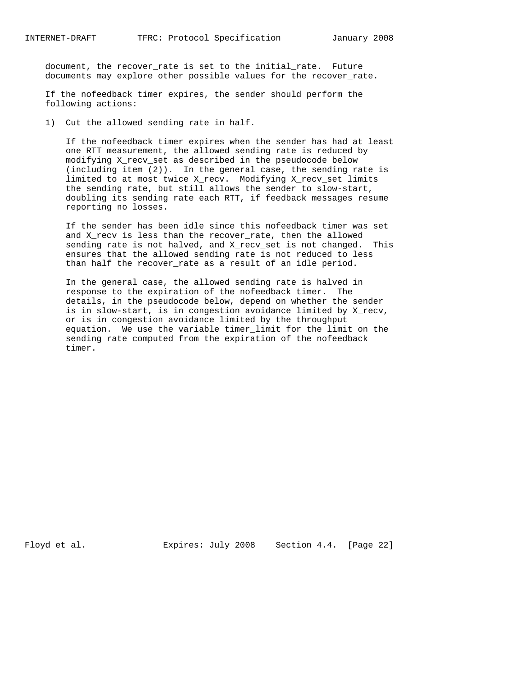document, the recover\_rate is set to the initial\_rate. Future documents may explore other possible values for the recover\_rate.

 If the nofeedback timer expires, the sender should perform the following actions:

1) Cut the allowed sending rate in half.

 If the nofeedback timer expires when the sender has had at least one RTT measurement, the allowed sending rate is reduced by modifying X\_recv\_set as described in the pseudocode below (including item (2)). In the general case, the sending rate is limited to at most twice X\_recv. Modifying X\_recv\_set limits the sending rate, but still allows the sender to slow-start, doubling its sending rate each RTT, if feedback messages resume reporting no losses.

 If the sender has been idle since this nofeedback timer was set and X\_recv is less than the recover\_rate, then the allowed sending rate is not halved, and X\_recv\_set is not changed. This ensures that the allowed sending rate is not reduced to less than half the recover\_rate as a result of an idle period.

 In the general case, the allowed sending rate is halved in response to the expiration of the nofeedback timer. The details, in the pseudocode below, depend on whether the sender is in slow-start, is in congestion avoidance limited by X\_recv, or is in congestion avoidance limited by the throughput equation. We use the variable timer\_limit for the limit on the sending rate computed from the expiration of the nofeedback timer.

Floyd et al. Expires: July 2008 Section 4.4. [Page 22]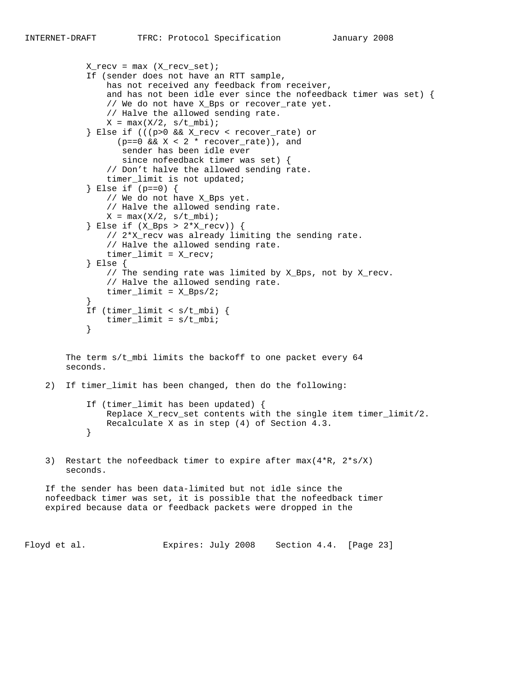$X_{recv} = max (X_{recv_set})$ ;

```
 If (sender does not have an RTT sample,
                has not received any feedback from receiver,
                 and has not been idle ever since the nofeedback timer was set) {
                 // We do not have X_Bps or recover_rate yet.
                 // Halve the allowed sending rate.
                X = \max(X/2, s/t_mbi); } Else if (((p>0 && X_recv < recover_rate) or
                  (p==0 \&x \times 2 * recover_rate), and
                   sender has been idle ever
                   since nofeedback timer was set) {
                 // Don't halve the allowed sending rate.
                 timer_limit is not updated;
             } Else if (p==0) {
                 // We do not have X_Bps yet.
                 // Halve the allowed sending rate.
               X = max(X/2, s/t_mbi); } Else if (X_Bps > 2*X_recv)) {
                 // 2*X_recv was already limiting the sending rate.
                 // Halve the allowed sending rate.
                 timer_limit = X_recv;
             } Else {
                // The sending rate was limited by X_Bps, not by X_recv.
                 // Halve the allowed sending rate.
                timer_limit = X_Bps/2;
 }
             If (timer_limit < s/t_mbi) {
            timer_limit = s/t_mbi;<br>}
 }
        The term s/t_mbi limits the backoff to one packet every 64
        seconds.
    2) If timer_limit has been changed, then do the following:
             If (timer_limit has been updated) {
                Replace X_recv_set contents with the single item timer_limit/2.
                Recalculate X as in step (4) of Section 4.3.
 }
    3) Restart the nofeedback timer to expire after max(4*R, 2*s/X)
        seconds.
    If the sender has been data-limited but not idle since the
    nofeedback timer was set, it is possible that the nofeedback timer
    expired because data or feedback packets were dropped in the
```
Floyd et al. Expires: July 2008 Section 4.4. [Page 23]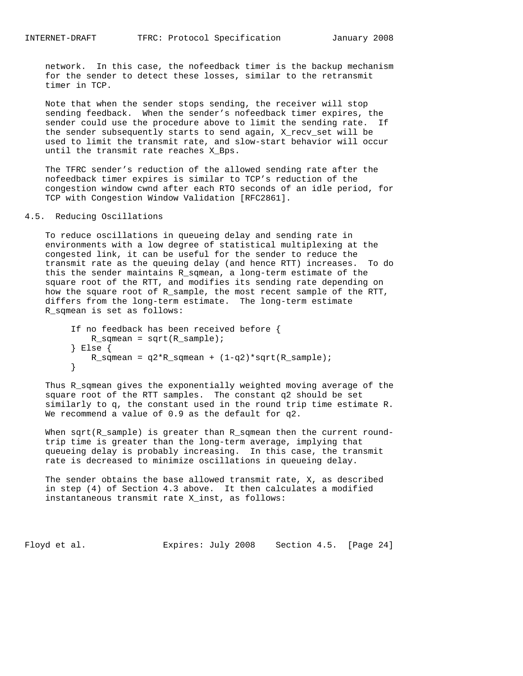network. In this case, the nofeedback timer is the backup mechanism for the sender to detect these losses, similar to the retransmit timer in TCP.

 Note that when the sender stops sending, the receiver will stop sending feedback. When the sender's nofeedback timer expires, the sender could use the procedure above to limit the sending rate. If the sender subsequently starts to send again, X\_recv\_set will be used to limit the transmit rate, and slow-start behavior will occur until the transmit rate reaches X\_Bps.

 The TFRC sender's reduction of the allowed sending rate after the nofeedback timer expires is similar to TCP's reduction of the congestion window cwnd after each RTO seconds of an idle period, for TCP with Congestion Window Validation [RFC2861].

### 4.5. Reducing Oscillations

 To reduce oscillations in queueing delay and sending rate in environments with a low degree of statistical multiplexing at the congested link, it can be useful for the sender to reduce the transmit rate as the queuing delay (and hence RTT) increases. To do this the sender maintains R\_sqmean, a long-term estimate of the square root of the RTT, and modifies its sending rate depending on how the square root of R\_sample, the most recent sample of the RTT, differs from the long-term estimate. The long-term estimate R\_sqmean is set as follows:

```
 If no feedback has been received before {
           R_sqmean = sqrt(R_sample);
         } Else {
        R_sqmean = q2*R_sqmean + (1-q2)*sqrt(R_sample);
 }
```
 Thus R\_sqmean gives the exponentially weighted moving average of the square root of the RTT samples. The constant q2 should be set similarly to q, the constant used in the round trip time estimate R. We recommend a value of 0.9 as the default for q2.

When sqrt(R\_sample) is greater than R\_sqmean then the current round trip time is greater than the long-term average, implying that queueing delay is probably increasing. In this case, the transmit rate is decreased to minimize oscillations in queueing delay.

 The sender obtains the base allowed transmit rate, X, as described in step (4) of Section 4.3 above. It then calculates a modified instantaneous transmit rate X\_inst, as follows:

Floyd et al. Expires: July 2008 Section 4.5. [Page 24]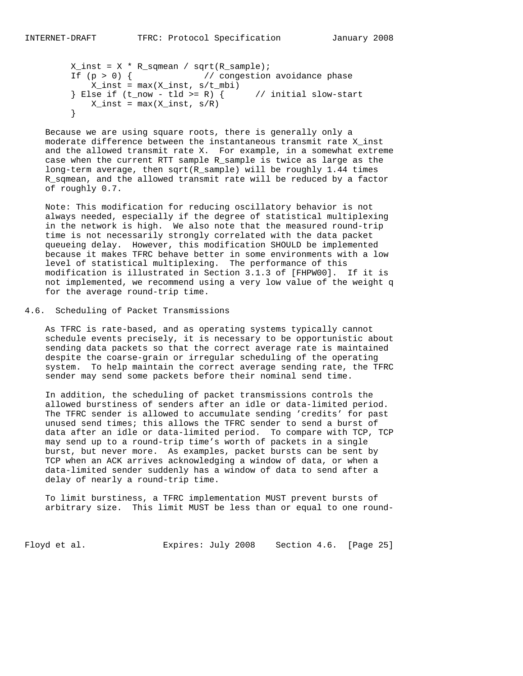```
X_inst = X * R_sqmean / sqrt(R_sample); If (p > 0) { // congestion avoidance phase
 X_inst = max(X_inst, s/t_mbi)
       } Else if (t_now - tld >= R) { // initial slow-start
       X\_{inst} = \max(X\_{inst}, s/R) }
```
 Because we are using square roots, there is generally only a moderate difference between the instantaneous transmit rate X\_inst and the allowed transmit rate X. For example, in a somewhat extreme case when the current RTT sample R\_sample is twice as large as the long-term average, then sqrt(R\_sample) will be roughly 1.44 times R\_sqmean, and the allowed transmit rate will be reduced by a factor of roughly 0.7.

 Note: This modification for reducing oscillatory behavior is not always needed, especially if the degree of statistical multiplexing in the network is high. We also note that the measured round-trip time is not necessarily strongly correlated with the data packet queueing delay. However, this modification SHOULD be implemented because it makes TFRC behave better in some environments with a low level of statistical multiplexing. The performance of this modification is illustrated in Section 3.1.3 of [FHPW00]. If it is not implemented, we recommend using a very low value of the weight q for the average round-trip time.

4.6. Scheduling of Packet Transmissions

 As TFRC is rate-based, and as operating systems typically cannot schedule events precisely, it is necessary to be opportunistic about sending data packets so that the correct average rate is maintained despite the coarse-grain or irregular scheduling of the operating system. To help maintain the correct average sending rate, the TFRC sender may send some packets before their nominal send time.

 In addition, the scheduling of packet transmissions controls the allowed burstiness of senders after an idle or data-limited period. The TFRC sender is allowed to accumulate sending 'credits' for past unused send times; this allows the TFRC sender to send a burst of data after an idle or data-limited period. To compare with TCP, TCP may send up to a round-trip time's worth of packets in a single burst, but never more. As examples, packet bursts can be sent by TCP when an ACK arrives acknowledging a window of data, or when a data-limited sender suddenly has a window of data to send after a delay of nearly a round-trip time.

 To limit burstiness, a TFRC implementation MUST prevent bursts of arbitrary size. This limit MUST be less than or equal to one round-

Floyd et al. **Expires:** July 2008 Section 4.6. [Page 25]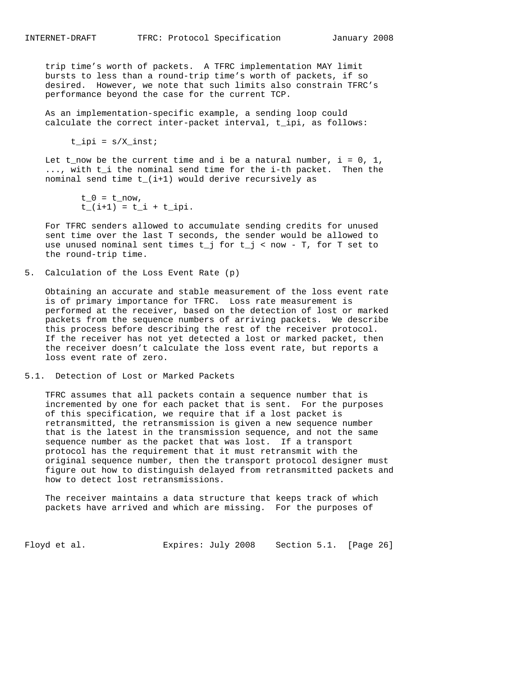trip time's worth of packets. A TFRC implementation MAY limit bursts to less than a round-trip time's worth of packets, if so desired. However, we note that such limits also constrain TFRC's performance beyond the case for the current TCP.

 As an implementation-specific example, a sending loop could calculate the correct inter-packet interval, t\_ipi, as follows:

 $t$ \_ipi = s/X\_inst;

Let t\_now be the current time and i be a natural number,  $i = 0, 1$ , ..., with t\_i the nominal send time for the i-th packet. Then the nominal send time t\_(i+1) would derive recursively as

```
t_0 = t_{now},
t_{i} = (i+1) = t_{i} + t_{i}
```
 For TFRC senders allowed to accumulate sending credits for unused sent time over the last T seconds, the sender would be allowed to use unused nominal sent times  $t_j$  for  $t_j <$  now - T, for T set to the round-trip time.

5. Calculation of the Loss Event Rate (p)

 Obtaining an accurate and stable measurement of the loss event rate is of primary importance for TFRC. Loss rate measurement is performed at the receiver, based on the detection of lost or marked packets from the sequence numbers of arriving packets. We describe this process before describing the rest of the receiver protocol. If the receiver has not yet detected a lost or marked packet, then the receiver doesn't calculate the loss event rate, but reports a loss event rate of zero.

5.1. Detection of Lost or Marked Packets

 TFRC assumes that all packets contain a sequence number that is incremented by one for each packet that is sent. For the purposes of this specification, we require that if a lost packet is retransmitted, the retransmission is given a new sequence number that is the latest in the transmission sequence, and not the same sequence number as the packet that was lost. If a transport protocol has the requirement that it must retransmit with the original sequence number, then the transport protocol designer must figure out how to distinguish delayed from retransmitted packets and how to detect lost retransmissions.

 The receiver maintains a data structure that keeps track of which packets have arrived and which are missing. For the purposes of

Floyd et al. Expires: July 2008 Section 5.1. [Page 26]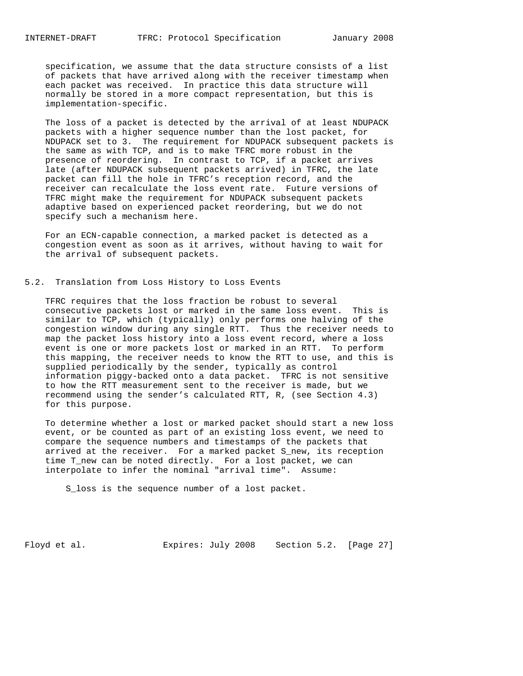specification, we assume that the data structure consists of a list of packets that have arrived along with the receiver timestamp when each packet was received. In practice this data structure will normally be stored in a more compact representation, but this is implementation-specific.

 The loss of a packet is detected by the arrival of at least NDUPACK packets with a higher sequence number than the lost packet, for NDUPACK set to 3. The requirement for NDUPACK subsequent packets is the same as with TCP, and is to make TFRC more robust in the presence of reordering. In contrast to TCP, if a packet arrives late (after NDUPACK subsequent packets arrived) in TFRC, the late packet can fill the hole in TFRC's reception record, and the receiver can recalculate the loss event rate. Future versions of TFRC might make the requirement for NDUPACK subsequent packets adaptive based on experienced packet reordering, but we do not specify such a mechanism here.

 For an ECN-capable connection, a marked packet is detected as a congestion event as soon as it arrives, without having to wait for the arrival of subsequent packets.

### 5.2. Translation from Loss History to Loss Events

 TFRC requires that the loss fraction be robust to several consecutive packets lost or marked in the same loss event. This is similar to TCP, which (typically) only performs one halving of the congestion window during any single RTT. Thus the receiver needs to map the packet loss history into a loss event record, where a loss event is one or more packets lost or marked in an RTT. To perform this mapping, the receiver needs to know the RTT to use, and this is supplied periodically by the sender, typically as control information piggy-backed onto a data packet. TFRC is not sensitive to how the RTT measurement sent to the receiver is made, but we recommend using the sender's calculated RTT, R, (see Section 4.3) for this purpose.

 To determine whether a lost or marked packet should start a new loss event, or be counted as part of an existing loss event, we need to compare the sequence numbers and timestamps of the packets that arrived at the receiver. For a marked packet S\_new, its reception time T\_new can be noted directly. For a lost packet, we can interpolate to infer the nominal "arrival time". Assume:

S\_loss is the sequence number of a lost packet.

Floyd et al. **Expires:** July 2008 Section 5.2. [Page 27]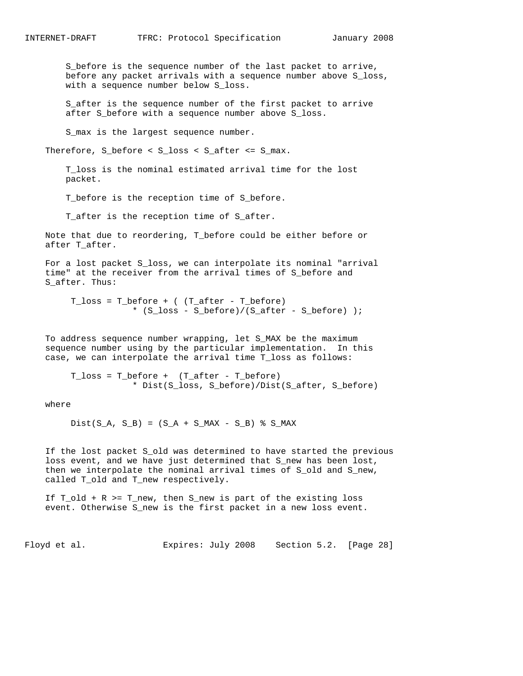S\_before is the sequence number of the last packet to arrive, before any packet arrivals with a sequence number above S\_loss, with a sequence number below S\_loss.

 S\_after is the sequence number of the first packet to arrive after S\_before with a sequence number above S\_loss.

S\_max is the largest sequence number.

Therefore, S\_before < S\_loss < S\_after <= S\_max.

 T\_loss is the nominal estimated arrival time for the lost packet.

T\_before is the reception time of S\_before.

T\_after is the reception time of S\_after.

 Note that due to reordering, T\_before could be either before or after T\_after.

 For a lost packet S\_loss, we can interpolate its nominal "arrival time" at the receiver from the arrival times of S\_before and S after. Thus:

 T\_loss = T\_before + ( (T\_after - T\_before) \* (S\_loss - S\_before)/(S\_after - S\_before) );

 To address sequence number wrapping, let S\_MAX be the maximum sequence number using by the particular implementation. In this case, we can interpolate the arrival time T\_loss as follows:

T  $loss = T$  before + (T after - T before) \* Dist(S\_loss, S\_before)/Dist(S\_after, S\_before)

where

 $Dist(S_A, S_B) = (S_A + S_MAX - S_B)$  % S\_MAX

 If the lost packet S\_old was determined to have started the previous loss event, and we have just determined that S\_new has been lost, then we interpolate the nominal arrival times of S\_old and S\_new, called T\_old and T\_new respectively.

 If T\_old + R >= T\_new, then S\_new is part of the existing loss event. Otherwise S\_new is the first packet in a new loss event.

Floyd et al. Expires: July 2008 Section 5.2. [Page 28]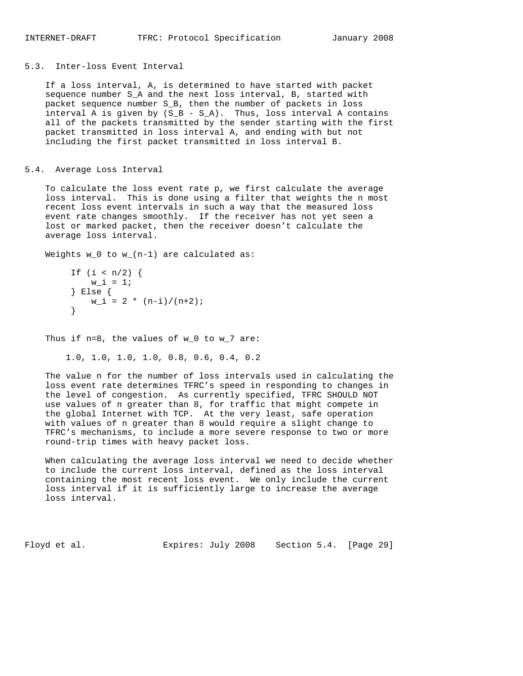### 5.3. Inter-loss Event Interval

 If a loss interval, A, is determined to have started with packet sequence number S\_A and the next loss interval, B, started with packet sequence number S\_B, then the number of packets in loss interval A is given by  $(S_B - S_A)$ . Thus, loss interval A contains all of the packets transmitted by the sender starting with the first packet transmitted in loss interval A, and ending with but not including the first packet transmitted in loss interval B.

### 5.4. Average Loss Interval

 To calculate the loss event rate p, we first calculate the average loss interval. This is done using a filter that weights the n most recent loss event intervals in such a way that the measured loss event rate changes smoothly. If the receiver has not yet seen a lost or marked packet, then the receiver doesn't calculate the average loss interval.

Weights w\_0 to w\_(n-1) are calculated as:

```
If (i < n/2) {
          w_i = 1; } Else {
       W_i = 2 * (n-i)/(n+2); }
```
Thus if  $n=8$ , the values of  $w_0$  to  $w_7$  are:

```
 1.0, 1.0, 1.0, 1.0, 0.8, 0.6, 0.4, 0.2
```
 The value n for the number of loss intervals used in calculating the loss event rate determines TFRC's speed in responding to changes in the level of congestion. As currently specified, TFRC SHOULD NOT use values of n greater than 8, for traffic that might compete in the global Internet with TCP. At the very least, safe operation with values of n greater than 8 would require a slight change to TFRC's mechanisms, to include a more severe response to two or more round-trip times with heavy packet loss.

 When calculating the average loss interval we need to decide whether to include the current loss interval, defined as the loss interval containing the most recent loss event. We only include the current loss interval if it is sufficiently large to increase the average loss interval.

Floyd et al. Expires: July 2008 Section 5.4. [Page 29]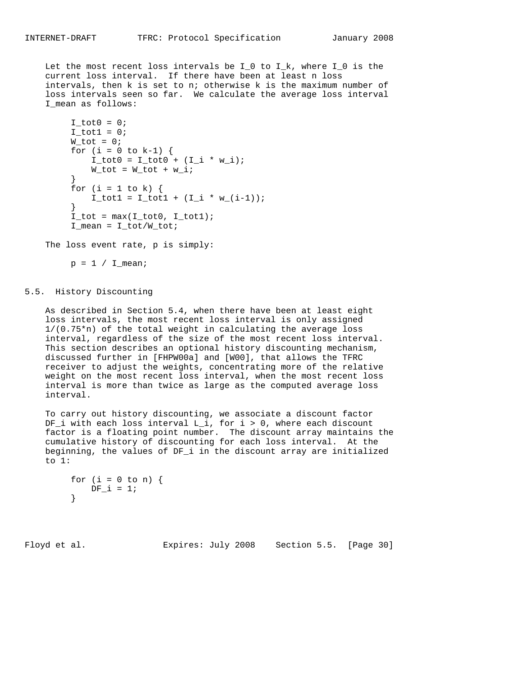Let the most recent loss intervals be  $I_0$  to  $I_k$ , where  $I_0$  is the current loss interval. If there have been at least n loss intervals, then k is set to n; otherwise k is the maximum number of loss intervals seen so far. We calculate the average loss interval I\_mean as follows:

```
I_tot0 = 0;I_{tot1} = 0;W_tot = 0;for (i = 0 to k-1) {
             I_{tot0} = I_{tot0} + (I_{i} * w_{i});
         W\_tot = W\_tot + w\_i; }
         for (i = 1 to k) {
            I_{tot1} = I_{tot1} + (I_{i} * w_{i} - (i-1)); }
         I\_tot = max(I\_tot0, I\_tot1);I_mean = I\_tot/W\_tot;
```
The loss event rate, p is simply:

 $p = 1 / I_mean;$ 

### 5.5. History Discounting

 As described in Section 5.4, when there have been at least eight loss intervals, the most recent loss interval is only assigned 1/(0.75\*n) of the total weight in calculating the average loss interval, regardless of the size of the most recent loss interval. This section describes an optional history discounting mechanism, discussed further in [FHPW00a] and [W00], that allows the TFRC receiver to adjust the weights, concentrating more of the relative weight on the most recent loss interval, when the most recent loss interval is more than twice as large as the computed average loss interval.

 To carry out history discounting, we associate a discount factor DF\_i with each loss interval L\_i, for i > 0, where each discount factor is a floating point number. The discount array maintains the cumulative history of discounting for each loss interval. At the beginning, the values of DF\_i in the discount array are initialized to 1:

```
for (i = 0 \text{ to } n) {
           DF i = 1;
 }
```
Floyd et al. Expires: July 2008 Section 5.5. [Page 30]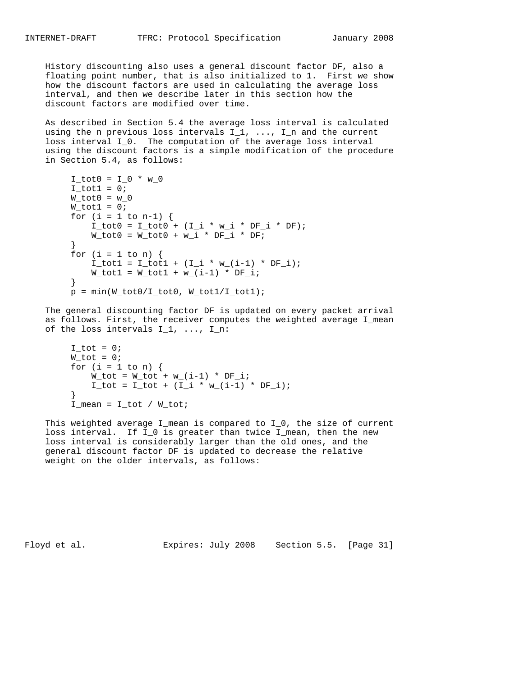History discounting also uses a general discount factor DF, also a floating point number, that is also initialized to 1. First we show how the discount factors are used in calculating the average loss interval, and then we describe later in this section how the discount factors are modified over time.

 As described in Section 5.4 the average loss interval is calculated using the n previous loss intervals  $I_1$ , ...,  $I_n$  and the current loss interval I\_0. The computation of the average loss interval using the discount factors is a simple modification of the procedure in Section 5.4, as follows:

```
I_{tot0} = I_{0} * w_0I\_tot1 = 0;W_tot0 = w_0W_tot1 = 0;for (i = 1 to n-1) {
             I_{tot0} = I_{tot0} + (I_{i} * w_{i} * DF_{i} * DF);W_tot0 = W_tot0 + w_i * DF_i * DF_i }
         for (i = 1 to n) {
             I_{tot1} = I_{tot1} + (I_{i} * w_{i} - i) * DF_{i};W_{tot1} = W_{tot1} + w_{i1} - 1 * DF<sub>i</sub>;
 }
         p = min(W_tot0/I_tot0, W_tot1/I_tot1);
```
 The general discounting factor DF is updated on every packet arrival as follows. First, the receiver computes the weighted average I\_mean of the loss intervals  $I_1, \ldots, I_n$ :

```
I_tot = 0;W_tot = 0;for (i = 1 to n) {
            W_tot = W_tot + w_i(i-1) * DF_i;I_{tot} = I_{tot} + (I_{i} * w_{i} (i-1) * DF_{i}; }
        I_mean = I\_tot / W\_tot;
```
This weighted average I\_mean is compared to I\_0, the size of current loss interval. If I\_0 is greater than twice I\_mean, then the new loss interval is considerably larger than the old ones, and the general discount factor DF is updated to decrease the relative weight on the older intervals, as follows:

Floyd et al. Expires: July 2008 Section 5.5. [Page 31]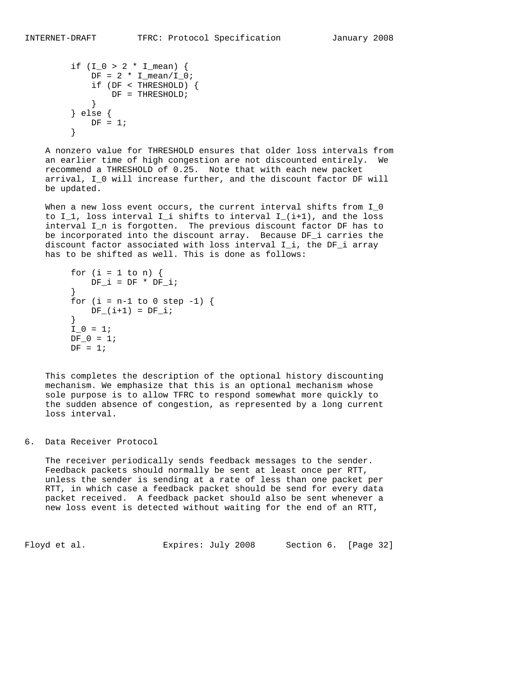```
if (I_0 > 2 * I_{mean}) {
                DF = 2 * I_mean / I_0; if (DF < THRESHOLD) {
                 \begin{array}{rcl} \texttt{DF} & = & \texttt{THRESHOLD}\texttt{;} \\ \end{array} }
             } else {
            DF = 1; }
```
 A nonzero value for THRESHOLD ensures that older loss intervals from an earlier time of high congestion are not discounted entirely. We recommend a THRESHOLD of 0.25. Note that with each new packet arrival, I\_0 will increase further, and the discount factor DF will be updated.

When a new loss event occurs, the current interval shifts from I\_0 to  $I_1$ , loss interval  $I_i$  shifts to interval  $I_i(i+1)$ , and the loss interval I\_n is forgotten. The previous discount factor DF has to be incorporated into the discount array. Because DF\_i carries the discount factor associated with loss interval I\_i, the DF\_i array has to be shifted as well. This is done as follows:

```
for (i = 1 to n) {
          DF_i = DF * DF_i; }
       for (i = n-1 to 0 step -1) {
         DF_{i}(i+1) = DF_{i}; }
       I_0 = 1;DF_0 = 1;DF = 1;
```
 This completes the description of the optional history discounting mechanism. We emphasize that this is an optional mechanism whose sole purpose is to allow TFRC to respond somewhat more quickly to the sudden absence of congestion, as represented by a long current loss interval.

6. Data Receiver Protocol

 The receiver periodically sends feedback messages to the sender. Feedback packets should normally be sent at least once per RTT, unless the sender is sending at a rate of less than one packet per RTT, in which case a feedback packet should be send for every data packet received. A feedback packet should also be sent whenever a new loss event is detected without waiting for the end of an RTT,

Floyd et al. Expires: July 2008 Section 6. [Page 32]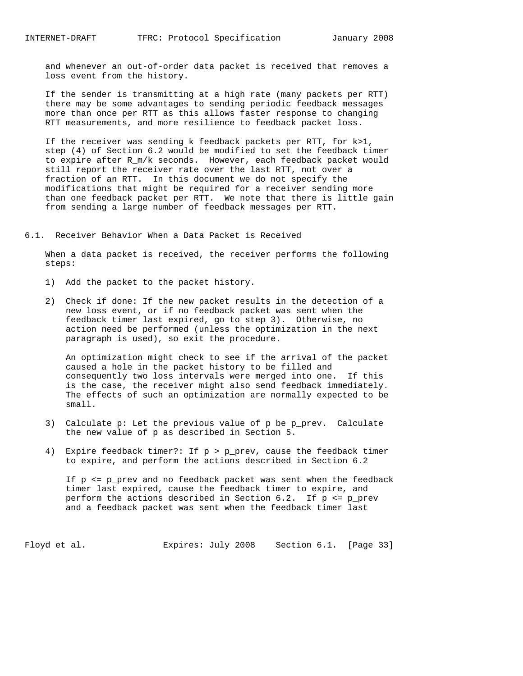and whenever an out-of-order data packet is received that removes a loss event from the history.

 If the sender is transmitting at a high rate (many packets per RTT) there may be some advantages to sending periodic feedback messages more than once per RTT as this allows faster response to changing RTT measurements, and more resilience to feedback packet loss.

 If the receiver was sending k feedback packets per RTT, for k>1, step (4) of Section 6.2 would be modified to set the feedback timer to expire after R\_m/k seconds. However, each feedback packet would still report the receiver rate over the last RTT, not over a fraction of an RTT. In this document we do not specify the modifications that might be required for a receiver sending more than one feedback packet per RTT. We note that there is little gain from sending a large number of feedback messages per RTT.

6.1. Receiver Behavior When a Data Packet is Received

 When a data packet is received, the receiver performs the following steps:

- 1) Add the packet to the packet history.
- 2) Check if done: If the new packet results in the detection of a new loss event, or if no feedback packet was sent when the feedback timer last expired, go to step 3). Otherwise, no action need be performed (unless the optimization in the next paragraph is used), so exit the procedure.

 An optimization might check to see if the arrival of the packet caused a hole in the packet history to be filled and consequently two loss intervals were merged into one. If this is the case, the receiver might also send feedback immediately. The effects of such an optimization are normally expected to be small.

- 3) Calculate p: Let the previous value of p be p\_prev. Calculate the new value of p as described in Section 5.
- 4) Expire feedback timer?: If p > p\_prev, cause the feedback timer to expire, and perform the actions described in Section 6.2

 If p <= p\_prev and no feedback packet was sent when the feedback timer last expired, cause the feedback timer to expire, and perform the actions described in Section 6.2. If  $p \le p\$  prev and a feedback packet was sent when the feedback timer last

Floyd et al. Expires: July 2008 Section 6.1. [Page 33]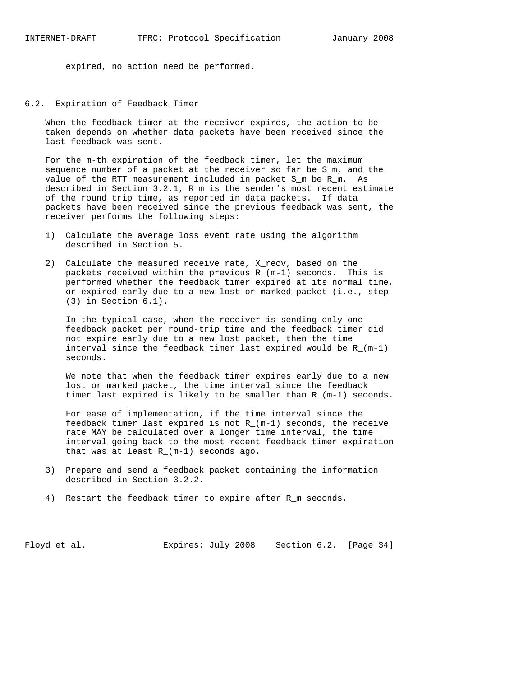expired, no action need be performed.

6.2. Expiration of Feedback Timer

 When the feedback timer at the receiver expires, the action to be taken depends on whether data packets have been received since the last feedback was sent.

 For the m-th expiration of the feedback timer, let the maximum sequence number of a packet at the receiver so far be S\_m, and the value of the RTT measurement included in packet S m be R m. As described in Section 3.2.1, R\_m is the sender's most recent estimate of the round trip time, as reported in data packets. If data packets have been received since the previous feedback was sent, the receiver performs the following steps:

- 1) Calculate the average loss event rate using the algorithm described in Section 5.
- 2) Calculate the measured receive rate, X\_recv, based on the packets received within the previous R\_(m-1) seconds. This is performed whether the feedback timer expired at its normal time, or expired early due to a new lost or marked packet (i.e., step (3) in Section 6.1).

 In the typical case, when the receiver is sending only one feedback packet per round-trip time and the feedback timer did not expire early due to a new lost packet, then the time interval since the feedback timer last expired would be R\_(m-1) seconds.

 We note that when the feedback timer expires early due to a new lost or marked packet, the time interval since the feedback timer last expired is likely to be smaller than R\_(m-1) seconds.

 For ease of implementation, if the time interval since the feedback timer last expired is not  $R_{-}(m-1)$  seconds, the receive rate MAY be calculated over a longer time interval, the time interval going back to the most recent feedback timer expiration that was at least R\_(m-1) seconds ago.

- 3) Prepare and send a feedback packet containing the information described in Section 3.2.2.
- 4) Restart the feedback timer to expire after R\_m seconds.

Floyd et al. Expires: July 2008 Section 6.2. [Page 34]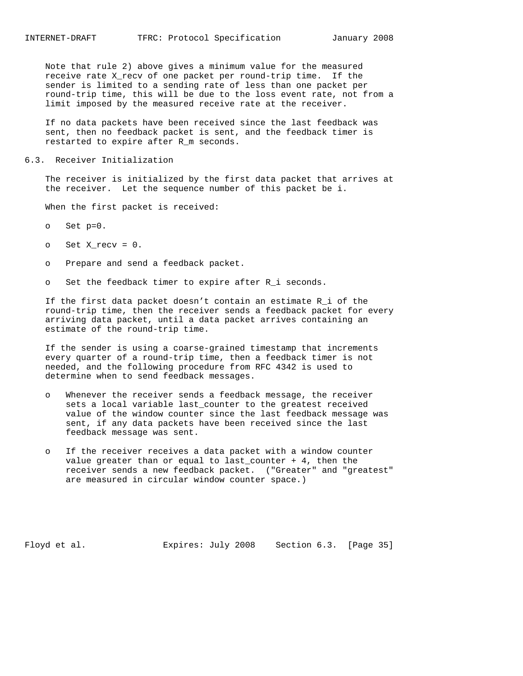Note that rule 2) above gives a minimum value for the measured receive rate X\_recv of one packet per round-trip time. If the sender is limited to a sending rate of less than one packet per round-trip time, this will be due to the loss event rate, not from a limit imposed by the measured receive rate at the receiver.

 If no data packets have been received since the last feedback was sent, then no feedback packet is sent, and the feedback timer is restarted to expire after R\_m seconds.

### 6.3. Receiver Initialization

 The receiver is initialized by the first data packet that arrives at the receiver. Let the sequence number of this packet be i.

When the first packet is received:

- o Set p=0.
- $o$  Set X\_recv =  $0$ .
- o Prepare and send a feedback packet.
- o Set the feedback timer to expire after R\_i seconds.

 If the first data packet doesn't contain an estimate R\_i of the round-trip time, then the receiver sends a feedback packet for every arriving data packet, until a data packet arrives containing an estimate of the round-trip time.

 If the sender is using a coarse-grained timestamp that increments every quarter of a round-trip time, then a feedback timer is not needed, and the following procedure from RFC 4342 is used to determine when to send feedback messages.

- o Whenever the receiver sends a feedback message, the receiver sets a local variable last\_counter to the greatest received value of the window counter since the last feedback message was sent, if any data packets have been received since the last feedback message was sent.
- o If the receiver receives a data packet with a window counter value greater than or equal to last\_counter + 4, then the receiver sends a new feedback packet. ("Greater" and "greatest" are measured in circular window counter space.)

Floyd et al. Expires: July 2008 Section 6.3. [Page 35]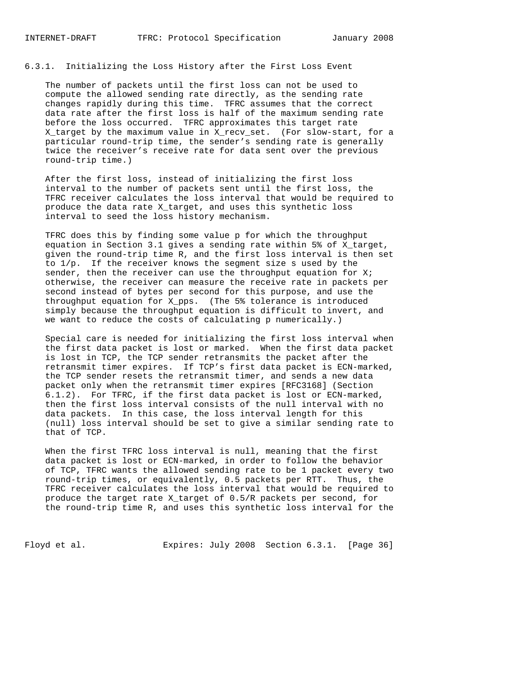## 6.3.1. Initializing the Loss History after the First Loss Event

 The number of packets until the first loss can not be used to compute the allowed sending rate directly, as the sending rate changes rapidly during this time. TFRC assumes that the correct data rate after the first loss is half of the maximum sending rate before the loss occurred. TFRC approximates this target rate X\_target by the maximum value in X\_recv\_set. (For slow-start, for a particular round-trip time, the sender's sending rate is generally twice the receiver's receive rate for data sent over the previous round-trip time.)

 After the first loss, instead of initializing the first loss interval to the number of packets sent until the first loss, the TFRC receiver calculates the loss interval that would be required to produce the data rate X\_target, and uses this synthetic loss interval to seed the loss history mechanism.

 TFRC does this by finding some value p for which the throughput equation in Section 3.1 gives a sending rate within 5% of X\_target, given the round-trip time R, and the first loss interval is then set to 1/p. If the receiver knows the segment size s used by the sender, then the receiver can use the throughput equation for  $Xi$ ; otherwise, the receiver can measure the receive rate in packets per second instead of bytes per second for this purpose, and use the throughput equation for X\_pps. (The 5% tolerance is introduced simply because the throughput equation is difficult to invert, and we want to reduce the costs of calculating p numerically.)

 Special care is needed for initializing the first loss interval when the first data packet is lost or marked. When the first data packet is lost in TCP, the TCP sender retransmits the packet after the retransmit timer expires. If TCP's first data packet is ECN-marked, the TCP sender resets the retransmit timer, and sends a new data packet only when the retransmit timer expires [RFC3168] (Section 6.1.2). For TFRC, if the first data packet is lost or ECN-marked, then the first loss interval consists of the null interval with no data packets. In this case, the loss interval length for this (null) loss interval should be set to give a similar sending rate to that of TCP.

 When the first TFRC loss interval is null, meaning that the first data packet is lost or ECN-marked, in order to follow the behavior of TCP, TFRC wants the allowed sending rate to be 1 packet every two round-trip times, or equivalently, 0.5 packets per RTT. Thus, the TFRC receiver calculates the loss interval that would be required to produce the target rate X\_target of 0.5/R packets per second, for the round-trip time R, and uses this synthetic loss interval for the

Floyd et al. Expires: July 2008 Section 6.3.1. [Page 36]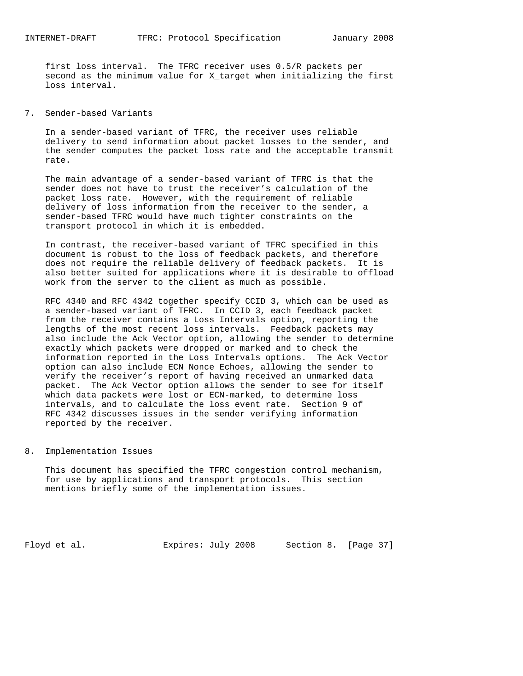first loss interval. The TFRC receiver uses 0.5/R packets per second as the minimum value for X\_target when initializing the first loss interval.

## 7. Sender-based Variants

 In a sender-based variant of TFRC, the receiver uses reliable delivery to send information about packet losses to the sender, and the sender computes the packet loss rate and the acceptable transmit rate.

 The main advantage of a sender-based variant of TFRC is that the sender does not have to trust the receiver's calculation of the packet loss rate. However, with the requirement of reliable delivery of loss information from the receiver to the sender, a sender-based TFRC would have much tighter constraints on the transport protocol in which it is embedded.

 In contrast, the receiver-based variant of TFRC specified in this document is robust to the loss of feedback packets, and therefore does not require the reliable delivery of feedback packets. It is also better suited for applications where it is desirable to offload work from the server to the client as much as possible.

 RFC 4340 and RFC 4342 together specify CCID 3, which can be used as a sender-based variant of TFRC. In CCID 3, each feedback packet from the receiver contains a Loss Intervals option, reporting the lengths of the most recent loss intervals. Feedback packets may also include the Ack Vector option, allowing the sender to determine exactly which packets were dropped or marked and to check the information reported in the Loss Intervals options. The Ack Vector option can also include ECN Nonce Echoes, allowing the sender to verify the receiver's report of having received an unmarked data packet. The Ack Vector option allows the sender to see for itself which data packets were lost or ECN-marked, to determine loss intervals, and to calculate the loss event rate. Section 9 of RFC 4342 discusses issues in the sender verifying information reported by the receiver.

### 8. Implementation Issues

 This document has specified the TFRC congestion control mechanism, for use by applications and transport protocols. This section mentions briefly some of the implementation issues.

Floyd et al. **Expires:** July 2008 Section 8. [Page 37]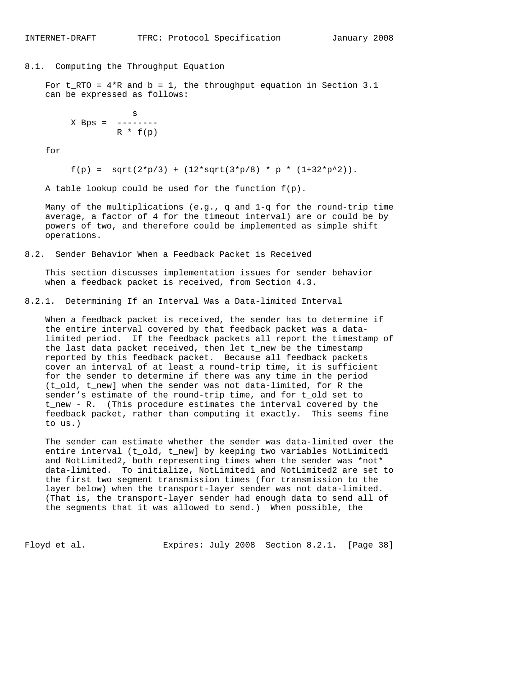8.1. Computing the Throughput Equation

For  $t_RTO = 4*R$  and  $b = 1$ , the throughput equation in Section 3.1 can be expressed as follows:

 s  $X_Bps =$  -------- $R * f(p)$ 

for

 $f(p) = sqrt(2*p/3) + (12*sqrt(3*p/8) * p * (1+32*p^2)).$ 

A table lookup could be used for the function  $f(p)$ .

 Many of the multiplications (e.g., q and 1-q for the round-trip time average, a factor of 4 for the timeout interval) are or could be by powers of two, and therefore could be implemented as simple shift operations.

8.2. Sender Behavior When a Feedback Packet is Received

 This section discusses implementation issues for sender behavior when a feedback packet is received, from Section 4.3.

8.2.1. Determining If an Interval Was a Data-limited Interval

 When a feedback packet is received, the sender has to determine if the entire interval covered by that feedback packet was a data limited period. If the feedback packets all report the timestamp of the last data packet received, then let t\_new be the timestamp reported by this feedback packet. Because all feedback packets cover an interval of at least a round-trip time, it is sufficient for the sender to determine if there was any time in the period (t\_old, t\_new] when the sender was not data-limited, for R the sender's estimate of the round-trip time, and for t\_old set to t\_new - R. (This procedure estimates the interval covered by the feedback packet, rather than computing it exactly. This seems fine to us.)

 The sender can estimate whether the sender was data-limited over the entire interval (t\_old, t\_new] by keeping two variables NotLimited1 and NotLimited2, both representing times when the sender was \*not\* data-limited. To initialize, NotLimited1 and NotLimited2 are set to the first two segment transmission times (for transmission to the layer below) when the transport-layer sender was not data-limited. (That is, the transport-layer sender had enough data to send all of the segments that it was allowed to send.) When possible, the

Floyd et al. **Expires:** July 2008 Section 8.2.1. [Page 38]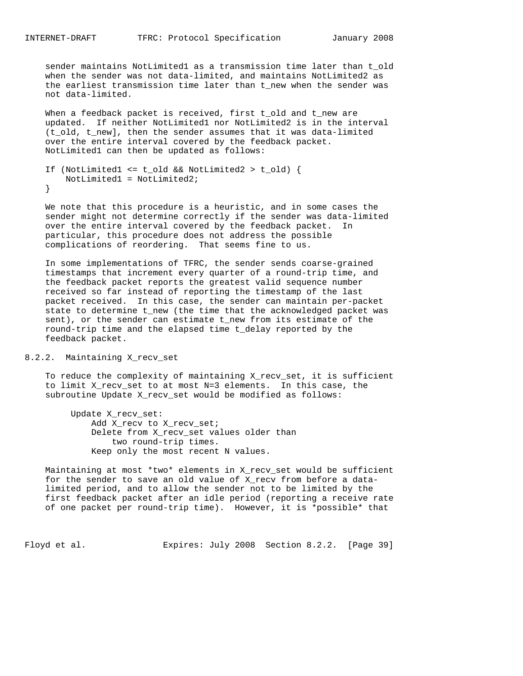sender maintains NotLimited1 as a transmission time later than t\_old when the sender was not data-limited, and maintains NotLimited2 as the earliest transmission time later than t\_new when the sender was not data-limited.

When a feedback packet is received, first t\_old and t\_new are updated. If neither NotLimited1 nor NotLimited2 is in the interval (t\_old, t\_new], then the sender assumes that it was data-limited over the entire interval covered by the feedback packet. NotLimited1 can then be updated as follows:

```
 If (NotLimited1 <= t_old && NotLimited2 > t_old) {
    NotLimited1 = NotLimited2;
 }
```
 We note that this procedure is a heuristic, and in some cases the sender might not determine correctly if the sender was data-limited over the entire interval covered by the feedback packet. In particular, this procedure does not address the possible complications of reordering. That seems fine to us.

 In some implementations of TFRC, the sender sends coarse-grained timestamps that increment every quarter of a round-trip time, and the feedback packet reports the greatest valid sequence number received so far instead of reporting the timestamp of the last packet received. In this case, the sender can maintain per-packet state to determine t\_new (the time that the acknowledged packet was sent), or the sender can estimate t\_new from its estimate of the round-trip time and the elapsed time t\_delay reported by the feedback packet.

### 8.2.2. Maintaining X\_recv\_set

 To reduce the complexity of maintaining X\_recv\_set, it is sufficient to limit X\_recv\_set to at most N=3 elements. In this case, the subroutine Update X\_recv\_set would be modified as follows:

 Update X\_recv\_set: Add X\_recv to X\_recv\_set; Delete from X\_recv\_set values older than two round-trip times. Keep only the most recent N values.

 Maintaining at most \*two\* elements in X\_recv\_set would be sufficient for the sender to save an old value of X\_recv from before a data limited period, and to allow the sender not to be limited by the first feedback packet after an idle period (reporting a receive rate of one packet per round-trip time). However, it is \*possible\* that

Floyd et al. Expires: July 2008 Section 8.2.2. [Page 39]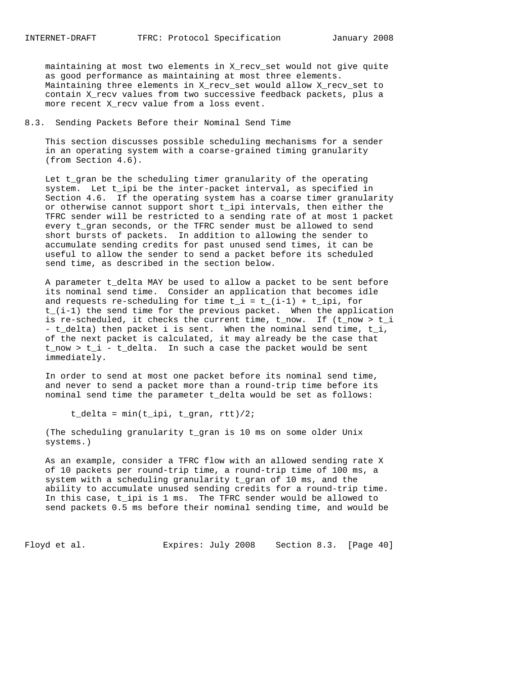maintaining at most two elements in X\_recv\_set would not give quite as good performance as maintaining at most three elements. Maintaining three elements in X\_recv\_set would allow X\_recv\_set to contain X\_recv values from two successive feedback packets, plus a more recent X\_recv value from a loss event.

### 8.3. Sending Packets Before their Nominal Send Time

 This section discusses possible scheduling mechanisms for a sender in an operating system with a coarse-grained timing granularity (from Section 4.6).

 Let t\_gran be the scheduling timer granularity of the operating system. Let t\_ipi be the inter-packet interval, as specified in Section 4.6. If the operating system has a coarse timer granularity or otherwise cannot support short t\_ipi intervals, then either the TFRC sender will be restricted to a sending rate of at most 1 packet every t\_gran seconds, or the TFRC sender must be allowed to send short bursts of packets. In addition to allowing the sender to accumulate sending credits for past unused send times, it can be useful to allow the sender to send a packet before its scheduled send time, as described in the section below.

 A parameter t\_delta MAY be used to allow a packet to be sent before its nominal send time. Consider an application that becomes idle and requests re-scheduling for time  $t_i = t_i(i-1) + t_i$  for t\_(i-1) the send time for the previous packet. When the application is re-scheduled, it checks the current time, t\_now. If (t\_now > t\_i - t\_delta) then packet i is sent. When the nominal send time, t\_i, of the next packet is calculated, it may already be the case that t\_now > t\_i - t\_delta. In such a case the packet would be sent immediately.

 In order to send at most one packet before its nominal send time, and never to send a packet more than a round-trip time before its nominal send time the parameter t\_delta would be set as follows:

t\_delta =  $min(t\_ipi, t_gran, rtt)/2$ ;

 (The scheduling granularity t\_gran is 10 ms on some older Unix systems.)

 As an example, consider a TFRC flow with an allowed sending rate X of 10 packets per round-trip time, a round-trip time of 100 ms, a system with a scheduling granularity t\_gran of 10 ms, and the ability to accumulate unused sending credits for a round-trip time. In this case, t\_ipi is 1 ms. The TFRC sender would be allowed to send packets 0.5 ms before their nominal sending time, and would be

Floyd et al. **Expires:** July 2008 Section 8.3. [Page 40]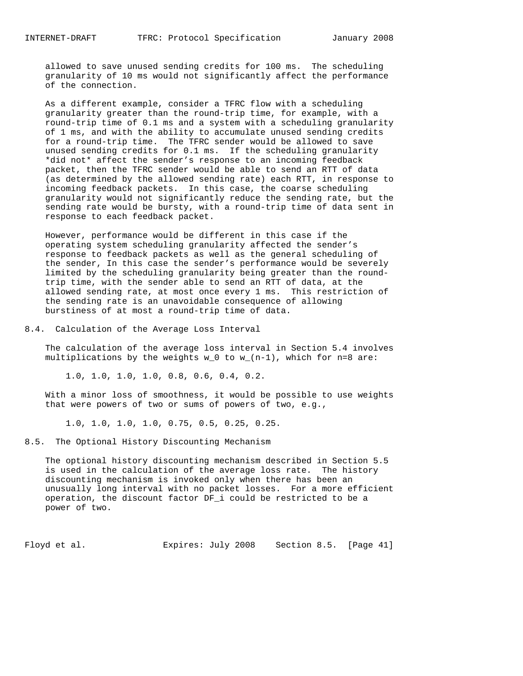allowed to save unused sending credits for 100 ms. The scheduling granularity of 10 ms would not significantly affect the performance of the connection.

 As a different example, consider a TFRC flow with a scheduling granularity greater than the round-trip time, for example, with a round-trip time of 0.1 ms and a system with a scheduling granularity of 1 ms, and with the ability to accumulate unused sending credits for a round-trip time. The TFRC sender would be allowed to save unused sending credits for 0.1 ms. If the scheduling granularity \*did not\* affect the sender's response to an incoming feedback packet, then the TFRC sender would be able to send an RTT of data (as determined by the allowed sending rate) each RTT, in response to incoming feedback packets. In this case, the coarse scheduling granularity would not significantly reduce the sending rate, but the sending rate would be bursty, with a round-trip time of data sent in response to each feedback packet.

 However, performance would be different in this case if the operating system scheduling granularity affected the sender's response to feedback packets as well as the general scheduling of the sender, In this case the sender's performance would be severely limited by the scheduling granularity being greater than the round trip time, with the sender able to send an RTT of data, at the allowed sending rate, at most once every 1 ms. This restriction of the sending rate is an unavoidable consequence of allowing burstiness of at most a round-trip time of data.

8.4. Calculation of the Average Loss Interval

 The calculation of the average loss interval in Section 5.4 involves multiplications by the weights  $w_0$  to  $w_1(n-1)$ , which for n=8 are:

1.0, 1.0, 1.0, 1.0, 0.8, 0.6, 0.4, 0.2.

 With a minor loss of smoothness, it would be possible to use weights that were powers of two or sums of powers of two, e.g.,

1.0, 1.0, 1.0, 1.0, 0.75, 0.5, 0.25, 0.25.

8.5. The Optional History Discounting Mechanism

 The optional history discounting mechanism described in Section 5.5 is used in the calculation of the average loss rate. The history discounting mechanism is invoked only when there has been an unusually long interval with no packet losses. For a more efficient operation, the discount factor DF\_i could be restricted to be a power of two.

Floyd et al. Expires: July 2008 Section 8.5. [Page 41]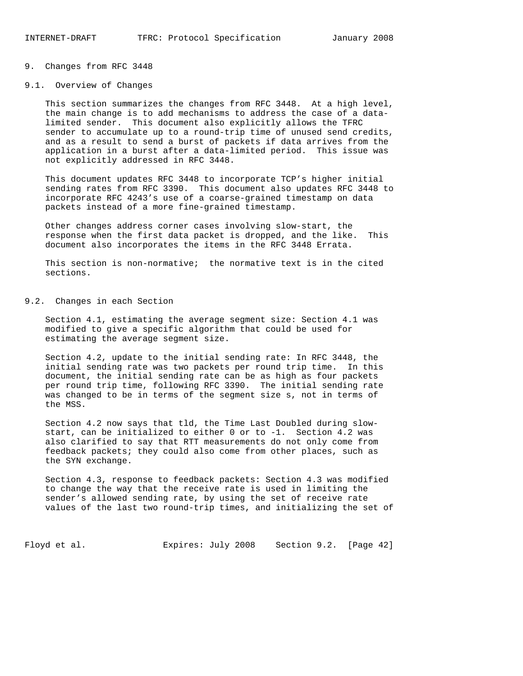### 9. Changes from RFC 3448

#### 9.1. Overview of Changes

 This section summarizes the changes from RFC 3448. At a high level, the main change is to add mechanisms to address the case of a data limited sender. This document also explicitly allows the TFRC sender to accumulate up to a round-trip time of unused send credits, and as a result to send a burst of packets if data arrives from the application in a burst after a data-limited period. This issue was not explicitly addressed in RFC 3448.

 This document updates RFC 3448 to incorporate TCP's higher initial sending rates from RFC 3390. This document also updates RFC 3448 to incorporate RFC 4243's use of a coarse-grained timestamp on data packets instead of a more fine-grained timestamp.

 Other changes address corner cases involving slow-start, the response when the first data packet is dropped, and the like. This document also incorporates the items in the RFC 3448 Errata.

 This section is non-normative; the normative text is in the cited sections.

### 9.2. Changes in each Section

 Section 4.1, estimating the average segment size: Section 4.1 was modified to give a specific algorithm that could be used for estimating the average segment size.

 Section 4.2, update to the initial sending rate: In RFC 3448, the initial sending rate was two packets per round trip time. In this document, the initial sending rate can be as high as four packets per round trip time, following RFC 3390. The initial sending rate was changed to be in terms of the segment size s, not in terms of the MSS.

 Section 4.2 now says that tld, the Time Last Doubled during slow start, can be initialized to either 0 or to -1. Section 4.2 was also clarified to say that RTT measurements do not only come from feedback packets; they could also come from other places, such as the SYN exchange.

 Section 4.3, response to feedback packets: Section 4.3 was modified to change the way that the receive rate is used in limiting the sender's allowed sending rate, by using the set of receive rate values of the last two round-trip times, and initializing the set of

Floyd et al. Expires: July 2008 Section 9.2. [Page 42]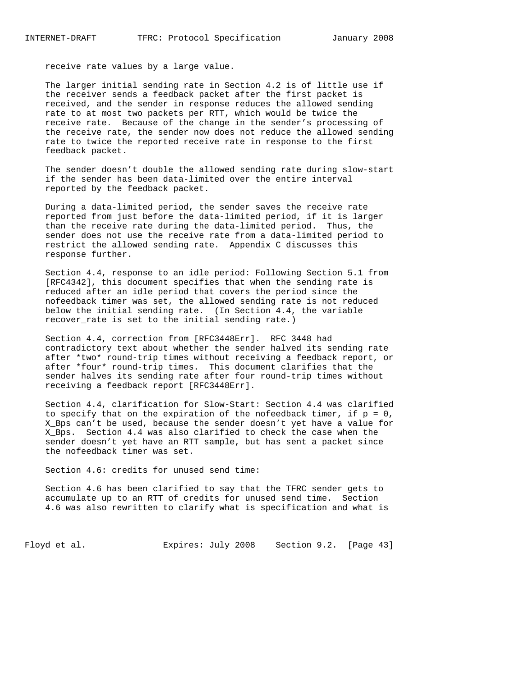receive rate values by a large value.

 The larger initial sending rate in Section 4.2 is of little use if the receiver sends a feedback packet after the first packet is received, and the sender in response reduces the allowed sending rate to at most two packets per RTT, which would be twice the receive rate. Because of the change in the sender's processing of the receive rate, the sender now does not reduce the allowed sending rate to twice the reported receive rate in response to the first feedback packet.

 The sender doesn't double the allowed sending rate during slow-start if the sender has been data-limited over the entire interval reported by the feedback packet.

 During a data-limited period, the sender saves the receive rate reported from just before the data-limited period, if it is larger than the receive rate during the data-limited period. Thus, the sender does not use the receive rate from a data-limited period to restrict the allowed sending rate. Appendix C discusses this response further.

 Section 4.4, response to an idle period: Following Section 5.1 from [RFC4342], this document specifies that when the sending rate is reduced after an idle period that covers the period since the nofeedback timer was set, the allowed sending rate is not reduced below the initial sending rate. (In Section 4.4, the variable recover\_rate is set to the initial sending rate.)

 Section 4.4, correction from [RFC3448Err]. RFC 3448 had contradictory text about whether the sender halved its sending rate after \*two\* round-trip times without receiving a feedback report, or after \*four\* round-trip times. This document clarifies that the sender halves its sending rate after four round-trip times without receiving a feedback report [RFC3448Err].

 Section 4.4, clarification for Slow-Start: Section 4.4 was clarified to specify that on the expiration of the nofeedback timer, if  $p = 0$ , X\_Bps can't be used, because the sender doesn't yet have a value for X\_Bps. Section 4.4 was also clarified to check the case when the sender doesn't yet have an RTT sample, but has sent a packet since the nofeedback timer was set.

Section 4.6: credits for unused send time:

 Section 4.6 has been clarified to say that the TFRC sender gets to accumulate up to an RTT of credits for unused send time. Section 4.6 was also rewritten to clarify what is specification and what is

Floyd et al. **Expires:** July 2008 Section 9.2. [Page 43]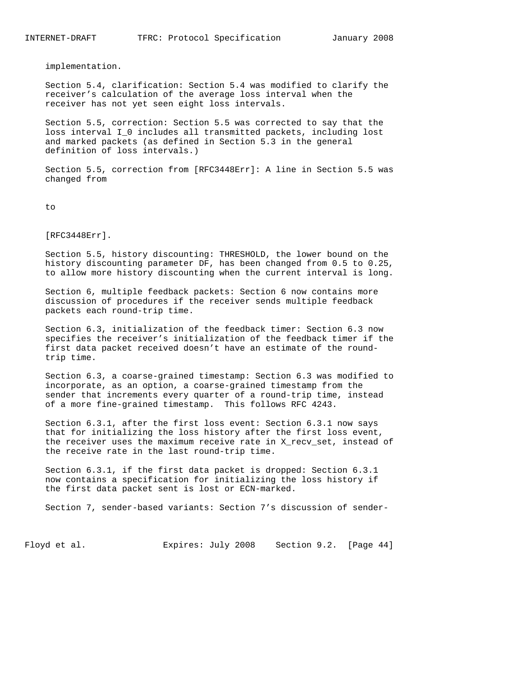implementation.

 Section 5.4, clarification: Section 5.4 was modified to clarify the receiver's calculation of the average loss interval when the receiver has not yet seen eight loss intervals.

 Section 5.5, correction: Section 5.5 was corrected to say that the loss interval I\_0 includes all transmitted packets, including lost and marked packets (as defined in Section 5.3 in the general definition of loss intervals.)

 Section 5.5, correction from [RFC3448Err]: A line in Section 5.5 was changed from

to

[RFC3448Err].

 Section 5.5, history discounting: THRESHOLD, the lower bound on the history discounting parameter DF, has been changed from 0.5 to 0.25, to allow more history discounting when the current interval is long.

 Section 6, multiple feedback packets: Section 6 now contains more discussion of procedures if the receiver sends multiple feedback packets each round-trip time.

 Section 6.3, initialization of the feedback timer: Section 6.3 now specifies the receiver's initialization of the feedback timer if the first data packet received doesn't have an estimate of the round trip time.

 Section 6.3, a coarse-grained timestamp: Section 6.3 was modified to incorporate, as an option, a coarse-grained timestamp from the sender that increments every quarter of a round-trip time, instead of a more fine-grained timestamp. This follows RFC 4243.

 Section 6.3.1, after the first loss event: Section 6.3.1 now says that for initializing the loss history after the first loss event, the receiver uses the maximum receive rate in X\_recv\_set, instead of the receive rate in the last round-trip time.

 Section 6.3.1, if the first data packet is dropped: Section 6.3.1 now contains a specification for initializing the loss history if the first data packet sent is lost or ECN-marked.

Section 7, sender-based variants: Section 7's discussion of sender-

Floyd et al. Expires: July 2008 Section 9.2. [Page 44]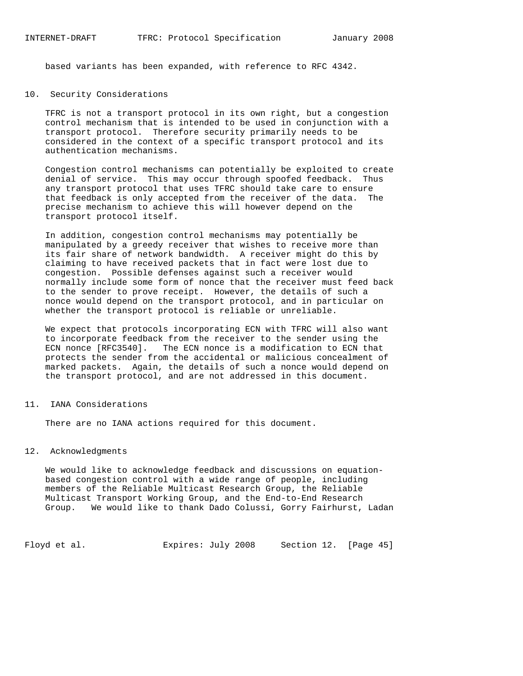based variants has been expanded, with reference to RFC 4342.

### 10. Security Considerations

 TFRC is not a transport protocol in its own right, but a congestion control mechanism that is intended to be used in conjunction with a transport protocol. Therefore security primarily needs to be considered in the context of a specific transport protocol and its authentication mechanisms.

 Congestion control mechanisms can potentially be exploited to create denial of service. This may occur through spoofed feedback. Thus any transport protocol that uses TFRC should take care to ensure that feedback is only accepted from the receiver of the data. The precise mechanism to achieve this will however depend on the transport protocol itself.

 In addition, congestion control mechanisms may potentially be manipulated by a greedy receiver that wishes to receive more than its fair share of network bandwidth. A receiver might do this by claiming to have received packets that in fact were lost due to congestion. Possible defenses against such a receiver would normally include some form of nonce that the receiver must feed back to the sender to prove receipt. However, the details of such a nonce would depend on the transport protocol, and in particular on whether the transport protocol is reliable or unreliable.

 We expect that protocols incorporating ECN with TFRC will also want to incorporate feedback from the receiver to the sender using the ECN nonce [RFC3540]. The ECN nonce is a modification to ECN that protects the sender from the accidental or malicious concealment of marked packets. Again, the details of such a nonce would depend on the transport protocol, and are not addressed in this document.

## 11. IANA Considerations

There are no IANA actions required for this document.

### 12. Acknowledgments

 We would like to acknowledge feedback and discussions on equation based congestion control with a wide range of people, including members of the Reliable Multicast Research Group, the Reliable Multicast Transport Working Group, and the End-to-End Research Group. We would like to thank Dado Colussi, Gorry Fairhurst, Ladan

Floyd et al. Expires: July 2008 Section 12. [Page 45]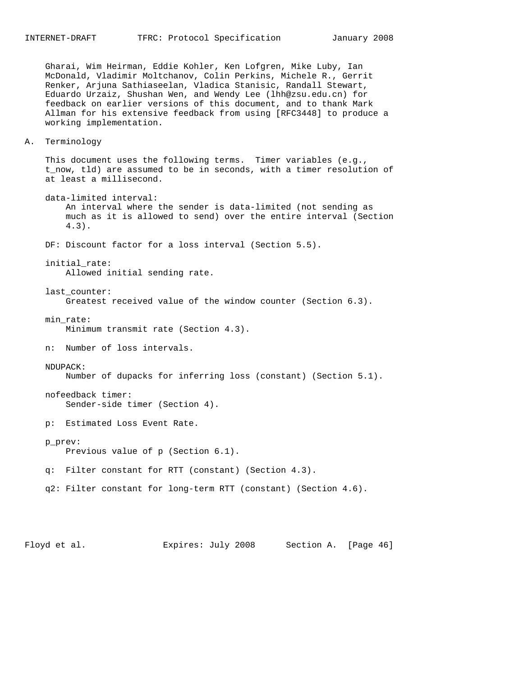Gharai, Wim Heirman, Eddie Kohler, Ken Lofgren, Mike Luby, Ian McDonald, Vladimir Moltchanov, Colin Perkins, Michele R., Gerrit Renker, Arjuna Sathiaseelan, Vladica Stanisic, Randall Stewart, Eduardo Urzaiz, Shushan Wen, and Wendy Lee (lhh@zsu.edu.cn) for feedback on earlier versions of this document, and to thank Mark Allman for his extensive feedback from using [RFC3448] to produce a working implementation.

A. Terminology

 This document uses the following terms. Timer variables (e.g., t\_now, tld) are assumed to be in seconds, with a timer resolution of at least a millisecond.

 data-limited interval: An interval where the sender is data-limited (not sending as much as it is allowed to send) over the entire interval (Section 4.3).

DF: Discount factor for a loss interval (Section 5.5).

initial\_rate:

Allowed initial sending rate.

last\_counter:

Greatest received value of the window counter (Section 6.3).

min\_rate:

Minimum transmit rate (Section 4.3).

- n: Number of loss intervals.
- NDUPACK:

Number of dupacks for inferring loss (constant) (Section 5.1).

 nofeedback timer: Sender-side timer (Section 4).

p: Estimated Loss Event Rate.

p\_prev:

Previous value of p (Section 6.1).

- q: Filter constant for RTT (constant) (Section 4.3).
- q2: Filter constant for long-term RTT (constant) (Section 4.6).

Floyd et al. **Expires:** July 2008 Section A. [Page 46]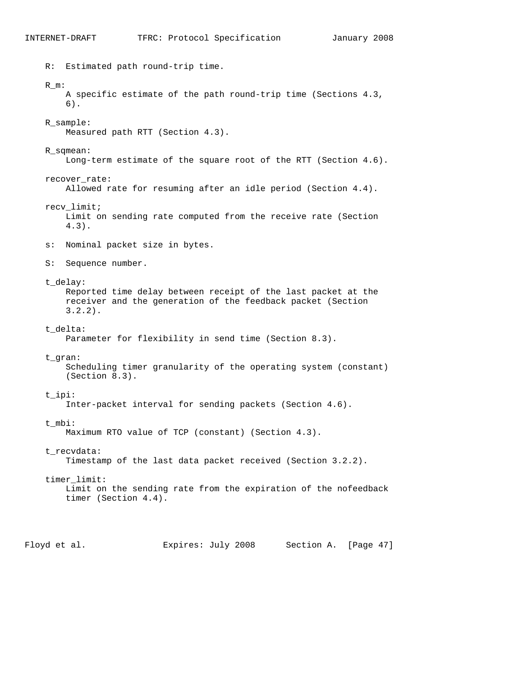R: Estimated path round-trip time. R\_m: A specific estimate of the path round-trip time (Sections 4.3, 6). R\_sample: Measured path RTT (Section 4.3). R\_sqmean: Long-term estimate of the square root of the RTT (Section 4.6). recover\_rate: Allowed rate for resuming after an idle period (Section 4.4). recv\_limit; Limit on sending rate computed from the receive rate (Section 4.3). s: Nominal packet size in bytes. S: Sequence number. t\_delay: Reported time delay between receipt of the last packet at the receiver and the generation of the feedback packet (Section 3.2.2). t\_delta: Parameter for flexibility in send time (Section 8.3). t\_gran: Scheduling timer granularity of the operating system (constant) (Section 8.3). t\_ipi: Inter-packet interval for sending packets (Section 4.6). t mbi: Maximum RTO value of TCP (constant) (Section 4.3). t\_recvdata: Timestamp of the last data packet received (Section 3.2.2). timer\_limit: Limit on the sending rate from the expiration of the nofeedback timer (Section 4.4). Floyd et al. Expires: July 2008 Section A. [Page 47]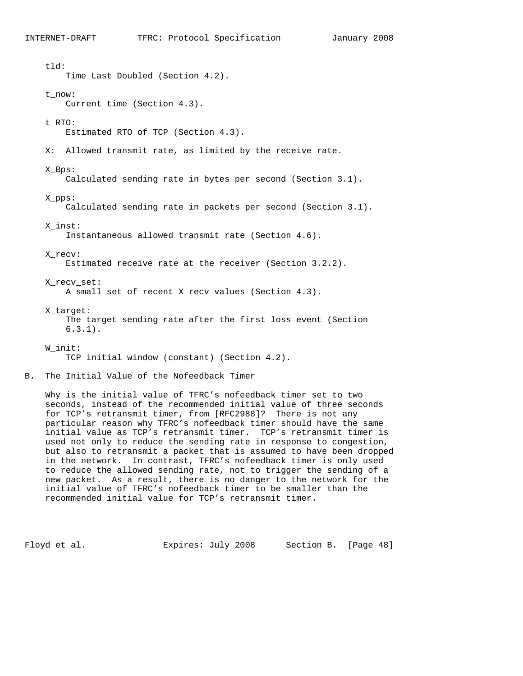tld: Time Last Doubled (Section 4.2). t\_now: Current time (Section 4.3). t\_RTO: Estimated RTO of TCP (Section 4.3). X: Allowed transmit rate, as limited by the receive rate. X\_Bps: Calculated sending rate in bytes per second (Section 3.1). X\_pps: Calculated sending rate in packets per second (Section 3.1). X\_inst: Instantaneous allowed transmit rate (Section 4.6). X\_recv: Estimated receive rate at the receiver (Section 3.2.2). X\_recv\_set: A small set of recent X\_recv values (Section 4.3). X\_target: The target sending rate after the first loss event (Section 6.3.1). W\_init: TCP initial window (constant) (Section 4.2). B. The Initial Value of the Nofeedback Timer

 Why is the initial value of TFRC's nofeedback timer set to two seconds, instead of the recommended initial value of three seconds for TCP's retransmit timer, from [RFC2988]? There is not any particular reason why TFRC's nofeedback timer should have the same initial value as TCP's retransmit timer. TCP's retransmit timer is used not only to reduce the sending rate in response to congestion, but also to retransmit a packet that is assumed to have been dropped in the network. In contrast, TFRC's nofeedback timer is only used to reduce the allowed sending rate, not to trigger the sending of a new packet. As a result, there is no danger to the network for the initial value of TFRC's nofeedback timer to be smaller than the recommended initial value for TCP's retransmit timer.

Floyd et al. Expires: July 2008 Section B. [Page 48]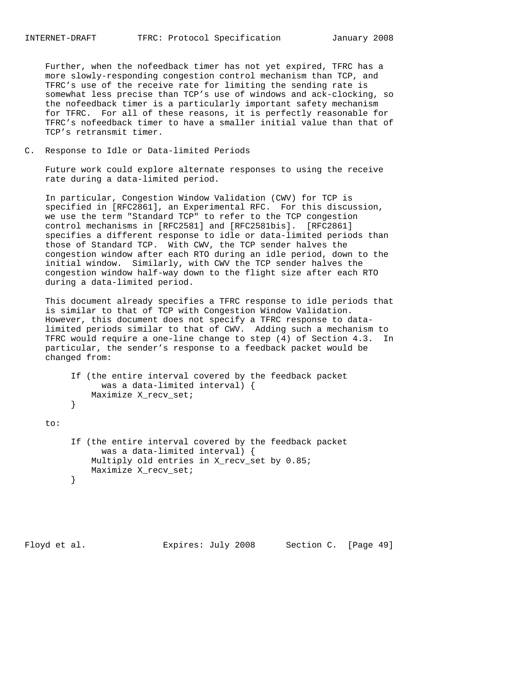Further, when the nofeedback timer has not yet expired, TFRC has a more slowly-responding congestion control mechanism than TCP, and TFRC's use of the receive rate for limiting the sending rate is somewhat less precise than TCP's use of windows and ack-clocking, so the nofeedback timer is a particularly important safety mechanism for TFRC. For all of these reasons, it is perfectly reasonable for TFRC's nofeedback timer to have a smaller initial value than that of TCP's retransmit timer.

C. Response to Idle or Data-limited Periods

 Future work could explore alternate responses to using the receive rate during a data-limited period.

 In particular, Congestion Window Validation (CWV) for TCP is specified in [RFC2861], an Experimental RFC. For this discussion, we use the term "Standard TCP" to refer to the TCP congestion control mechanisms in [RFC2581] and [RFC2581bis]. [RFC2861] specifies a different response to idle or data-limited periods than those of Standard TCP. With CWV, the TCP sender halves the congestion window after each RTO during an idle period, down to the initial window. Similarly, with CWV the TCP sender halves the congestion window half-way down to the flight size after each RTO during a data-limited period.

 This document already specifies a TFRC response to idle periods that is similar to that of TCP with Congestion Window Validation. However, this document does not specify a TFRC response to data limited periods similar to that of CWV. Adding such a mechanism to TFRC would require a one-line change to step (4) of Section 4.3. In particular, the sender's response to a feedback packet would be changed from:

```
 If (the entire interval covered by the feedback packet
     was a data-limited interval) {
Maximize X_recv_set;
```
 } to:

```
 If (the entire interval covered by the feedback packet
               was a data-limited interval) {
             Multiply old entries in X_recv_set by 0.85;
        Maximize X_recv_set;
 }
```
Floyd et al. **Expires:** July 2008 Section C. [Page 49]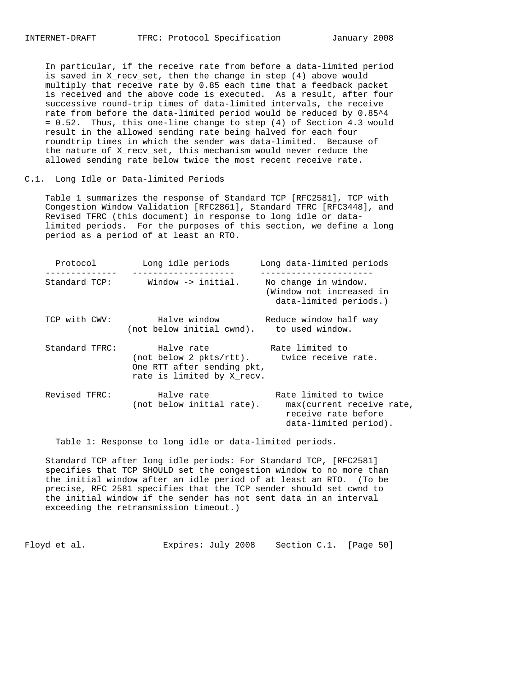In particular, if the receive rate from before a data-limited period is saved in X\_recv\_set, then the change in step (4) above would multiply that receive rate by 0.85 each time that a feedback packet is received and the above code is executed. As a result, after four successive round-trip times of data-limited intervals, the receive rate from before the data-limited period would be reduced by 0.85^4 = 0.52. Thus, this one-line change to step (4) of Section 4.3 would result in the allowed sending rate being halved for each four roundtrip times in which the sender was data-limited. Because of the nature of X\_recv\_set, this mechanism would never reduce the allowed sending rate below twice the most recent receive rate.

C.1. Long Idle or Data-limited Periods

 Table 1 summarizes the response of Standard TCP [RFC2581], TCP with Congestion Window Validation [RFC2861], Standard TFRC [RFC3448], and Revised TFRC (this document) in response to long idle or data limited periods. For the purposes of this section, we define a long period as a period of at least an RTO.

| Long idle periods<br>Protocol |                                                                                                                                           | Long data-limited periods<br>----------------                                                      |  |  |
|-------------------------------|-------------------------------------------------------------------------------------------------------------------------------------------|----------------------------------------------------------------------------------------------------|--|--|
| Standard TCP:                 | Window $\rightarrow$ initial.                                                                                                             | No change in window.<br>(Window not increased in<br>data-limited periods.)                         |  |  |
| TCP with CWV:                 | Halve window<br>(not below initial cwnd). to used window.                                                                                 | Reduce window half way                                                                             |  |  |
| Standard TFRC:                | Halve rate The Rate limited to<br>(not below 2 pkts/rtt). twice receive rate.<br>One RTT after sending pkt,<br>rate is limited by X recv. |                                                                                                    |  |  |
| Revised TFRC:                 | Halve rate<br>(not below initial rate).                                                                                                   | Rate limited to twice<br>max(current receive rate,<br>receive rate before<br>data-limited period). |  |  |

Table 1: Response to long idle or data-limited periods.

 Standard TCP after long idle periods: For Standard TCP, [RFC2581] specifies that TCP SHOULD set the congestion window to no more than the initial window after an idle period of at least an RTO. (To be precise, RFC 2581 specifies that the TCP sender should set cwnd to the initial window if the sender has not sent data in an interval exceeding the retransmission timeout.)

Floyd et al. Expires: July 2008 Section C.1. [Page 50]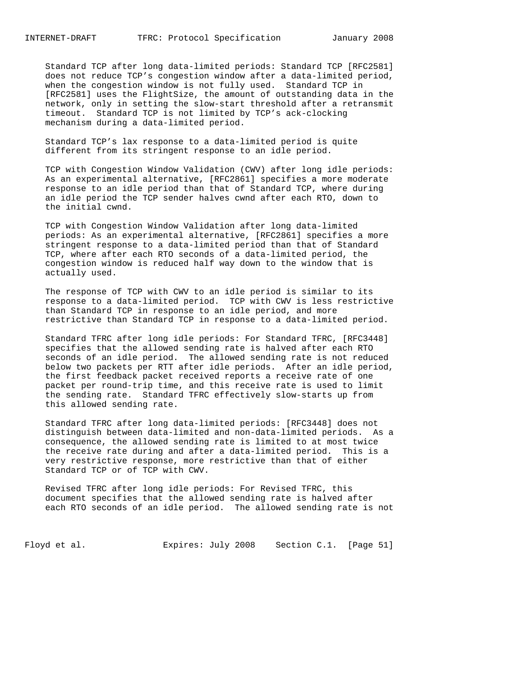Standard TCP after long data-limited periods: Standard TCP [RFC2581] does not reduce TCP's congestion window after a data-limited period, when the congestion window is not fully used. Standard TCP in [RFC2581] uses the FlightSize, the amount of outstanding data in the network, only in setting the slow-start threshold after a retransmit timeout. Standard TCP is not limited by TCP's ack-clocking mechanism during a data-limited period.

 Standard TCP's lax response to a data-limited period is quite different from its stringent response to an idle period.

 TCP with Congestion Window Validation (CWV) after long idle periods: As an experimental alternative, [RFC2861] specifies a more moderate response to an idle period than that of Standard TCP, where during an idle period the TCP sender halves cwnd after each RTO, down to the initial cwnd.

 TCP with Congestion Window Validation after long data-limited periods: As an experimental alternative, [RFC2861] specifies a more stringent response to a data-limited period than that of Standard TCP, where after each RTO seconds of a data-limited period, the congestion window is reduced half way down to the window that is actually used.

 The response of TCP with CWV to an idle period is similar to its response to a data-limited period. TCP with CWV is less restrictive than Standard TCP in response to an idle period, and more restrictive than Standard TCP in response to a data-limited period.

 Standard TFRC after long idle periods: For Standard TFRC, [RFC3448] specifies that the allowed sending rate is halved after each RTO seconds of an idle period. The allowed sending rate is not reduced below two packets per RTT after idle periods. After an idle period, the first feedback packet received reports a receive rate of one packet per round-trip time, and this receive rate is used to limit the sending rate. Standard TFRC effectively slow-starts up from this allowed sending rate.

 Standard TFRC after long data-limited periods: [RFC3448] does not distinguish between data-limited and non-data-limited periods. As a consequence, the allowed sending rate is limited to at most twice the receive rate during and after a data-limited period. This is a very restrictive response, more restrictive than that of either Standard TCP or of TCP with CWV.

 Revised TFRC after long idle periods: For Revised TFRC, this document specifies that the allowed sending rate is halved after each RTO seconds of an idle period. The allowed sending rate is not

Floyd et al. Expires: July 2008 Section C.1. [Page 51]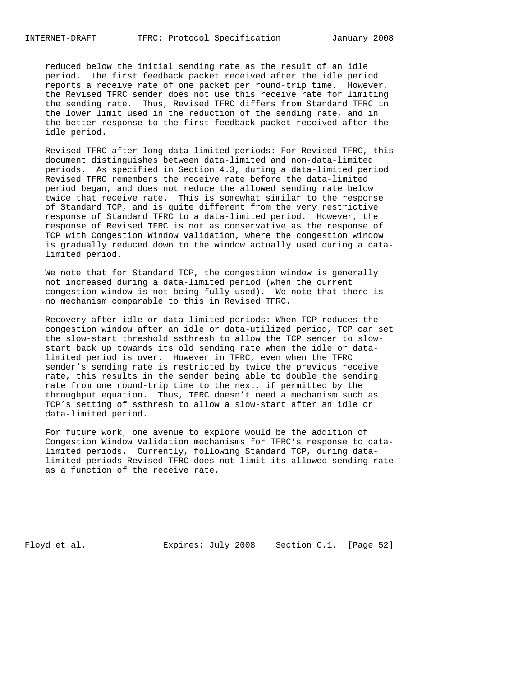reduced below the initial sending rate as the result of an idle period. The first feedback packet received after the idle period reports a receive rate of one packet per round-trip time. However, the Revised TFRC sender does not use this receive rate for limiting the sending rate. Thus, Revised TFRC differs from Standard TFRC in the lower limit used in the reduction of the sending rate, and in the better response to the first feedback packet received after the idle period.

 Revised TFRC after long data-limited periods: For Revised TFRC, this document distinguishes between data-limited and non-data-limited periods. As specified in Section 4.3, during a data-limited period Revised TFRC remembers the receive rate before the data-limited period began, and does not reduce the allowed sending rate below twice that receive rate. This is somewhat similar to the response of Standard TCP, and is quite different from the very restrictive response of Standard TFRC to a data-limited period. However, the response of Revised TFRC is not as conservative as the response of TCP with Congestion Window Validation, where the congestion window is gradually reduced down to the window actually used during a data limited period.

 We note that for Standard TCP, the congestion window is generally not increased during a data-limited period (when the current congestion window is not being fully used). We note that there is no mechanism comparable to this in Revised TFRC.

 Recovery after idle or data-limited periods: When TCP reduces the congestion window after an idle or data-utilized period, TCP can set the slow-start threshold ssthresh to allow the TCP sender to slow start back up towards its old sending rate when the idle or data limited period is over. However in TFRC, even when the TFRC sender's sending rate is restricted by twice the previous receive rate, this results in the sender being able to double the sending rate from one round-trip time to the next, if permitted by the throughput equation. Thus, TFRC doesn't need a mechanism such as TCP's setting of ssthresh to allow a slow-start after an idle or data-limited period.

 For future work, one avenue to explore would be the addition of Congestion Window Validation mechanisms for TFRC's response to data limited periods. Currently, following Standard TCP, during data limited periods Revised TFRC does not limit its allowed sending rate as a function of the receive rate.

Floyd et al. Expires: July 2008 Section C.1. [Page 52]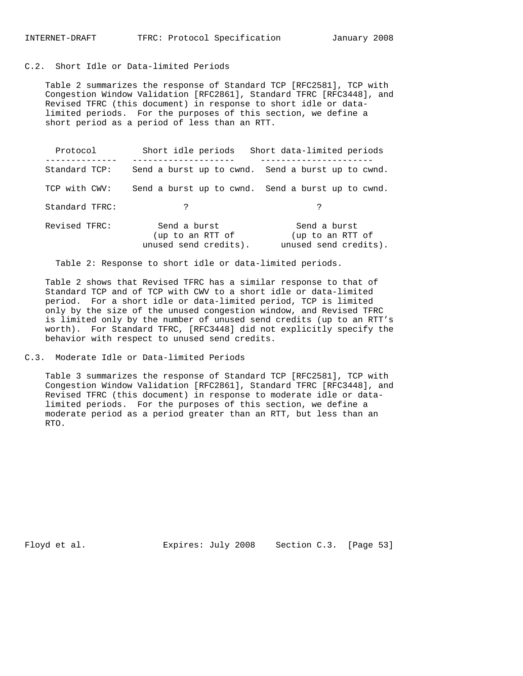# C.2. Short Idle or Data-limited Periods

 Table 2 summarizes the response of Standard TCP [RFC2581], TCP with Congestion Window Validation [RFC2861], Standard TFRC [RFC3448], and Revised TFRC (this document) in response to short idle or data limited periods. For the purposes of this section, we define a short period as a period of less than an RTT.

| Protocol       | Short idle periods                                        | Short data-limited periods                                |
|----------------|-----------------------------------------------------------|-----------------------------------------------------------|
| Standard TCP:  |                                                           | Send a burst up to cwnd. Send a burst up to cwnd.         |
| TCP with CWV:  |                                                           | Send a burst up to cwnd. Send a burst up to cwnd.         |
| Standard TFRC: | ?                                                         | P                                                         |
| Revised TFRC:  | Send a burst<br>(up to an RTT of<br>unused send credits). | Send a burst<br>(up to an RTT of<br>unused send credits). |

Table 2: Response to short idle or data-limited periods.

 Table 2 shows that Revised TFRC has a similar response to that of Standard TCP and of TCP with CWV to a short idle or data-limited period. For a short idle or data-limited period, TCP is limited only by the size of the unused congestion window, and Revised TFRC is limited only by the number of unused send credits (up to an RTT's worth). For Standard TFRC, [RFC3448] did not explicitly specify the behavior with respect to unused send credits.

C.3. Moderate Idle or Data-limited Periods

 Table 3 summarizes the response of Standard TCP [RFC2581], TCP with Congestion Window Validation [RFC2861], Standard TFRC [RFC3448], and Revised TFRC (this document) in response to moderate idle or data limited periods. For the purposes of this section, we define a moderate period as a period greater than an RTT, but less than an RTO.

Floyd et al. **Expires:** July 2008 Section C.3. [Page 53]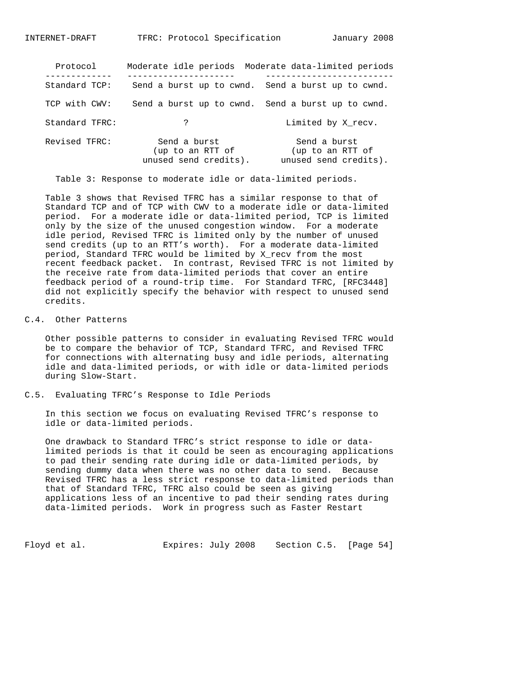| Protocol       |                                                           | Moderate idle periods Moderate data-limited periods       |
|----------------|-----------------------------------------------------------|-----------------------------------------------------------|
| Standard TCP:  |                                                           | Send a burst up to cwnd. Send a burst up to cwnd.         |
| TCP with CWV:  |                                                           | Send a burst up to cwnd. Send a burst up to cwnd.         |
| Standard TFRC: | ?                                                         | Limited by X recv.                                        |
| Revised TFRC:  | Send a burst<br>(up to an RTT of<br>unused send credits). | Send a burst<br>(up to an RTT of<br>unused send credits). |

Table 3: Response to moderate idle or data-limited periods.

 Table 3 shows that Revised TFRC has a similar response to that of Standard TCP and of TCP with CWV to a moderate idle or data-limited period. For a moderate idle or data-limited period, TCP is limited only by the size of the unused congestion window. For a moderate idle period, Revised TFRC is limited only by the number of unused send credits (up to an RTT's worth). For a moderate data-limited period, Standard TFRC would be limited by X\_recv from the most recent feedback packet. In contrast, Revised TFRC is not limited by the receive rate from data-limited periods that cover an entire feedback period of a round-trip time. For Standard TFRC, [RFC3448] did not explicitly specify the behavior with respect to unused send credits.

### C.4. Other Patterns

 Other possible patterns to consider in evaluating Revised TFRC would be to compare the behavior of TCP, Standard TFRC, and Revised TFRC for connections with alternating busy and idle periods, alternating idle and data-limited periods, or with idle or data-limited periods during Slow-Start.

C.5. Evaluating TFRC's Response to Idle Periods

 In this section we focus on evaluating Revised TFRC's response to idle or data-limited periods.

 One drawback to Standard TFRC's strict response to idle or data limited periods is that it could be seen as encouraging applications to pad their sending rate during idle or data-limited periods, by sending dummy data when there was no other data to send. Because Revised TFRC has a less strict response to data-limited periods than that of Standard TFRC, TFRC also could be seen as giving applications less of an incentive to pad their sending rates during data-limited periods. Work in progress such as Faster Restart

Floyd et al. Expires: July 2008 Section C.5. [Page 54]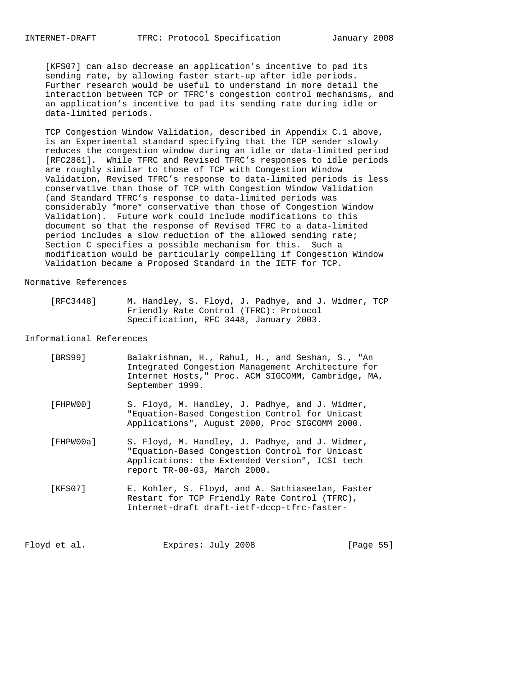[KFS07] can also decrease an application's incentive to pad its sending rate, by allowing faster start-up after idle periods. Further research would be useful to understand in more detail the interaction between TCP or TFRC's congestion control mechanisms, and an application's incentive to pad its sending rate during idle or data-limited periods.

 TCP Congestion Window Validation, described in Appendix C.1 above, is an Experimental standard specifying that the TCP sender slowly reduces the congestion window during an idle or data-limited period [RFC2861]. While TFRC and Revised TFRC's responses to idle periods are roughly similar to those of TCP with Congestion Window Validation, Revised TFRC's response to data-limited periods is less conservative than those of TCP with Congestion Window Validation (and Standard TFRC's response to data-limited periods was considerably \*more\* conservative than those of Congestion Window Validation). Future work could include modifications to this document so that the response of Revised TFRC to a data-limited period includes a slow reduction of the allowed sending rate; Section C specifies a possible mechanism for this. Such a modification would be particularly compelling if Congestion Window Validation became a Proposed Standard in the IETF for TCP.

### Normative References

| [RFC3448] | M. Handley, S. Floyd, J. Padhye, and J. Widmer, TCP |  |  |  |
|-----------|-----------------------------------------------------|--|--|--|
|           | Friendly Rate Control (TFRC): Protocol              |  |  |  |
|           | Specification, RFC 3448, January 2003.              |  |  |  |

### Informational References

| [BRS99]   | Balakrishnan, H., Rahul, H., and Seshan, S., "An<br>Integrated Congestion Management Architecture for<br>Internet Hosts," Proc. ACM SIGCOMM, Cambridge, MA,<br>September 1999.      |
|-----------|-------------------------------------------------------------------------------------------------------------------------------------------------------------------------------------|
| [FHPW00]  | S. Floyd, M. Handley, J. Padhye, and J. Widmer,<br>"Equation-Based Congestion Control for Unicast<br>Applications", August 2000, Proc SIGCOMM 2000.                                 |
| [FHPW00a] | S. Floyd, M. Handley, J. Padhye, and J. Widmer,<br>"Equation-Based Congestion Control for Unicast<br>Applications: the Extended Version", ICSI tech<br>report TR-00-03, March 2000. |
| [KFS07]   | E. Kohler, S. Floyd, and A. Sathiaseelan, Faster<br>Restart for TCP Friendly Rate Control (TFRC),<br>Internet-draft draft-ietf-dccp-tfrc-faster-                                    |

Floyd et al. Expires: July 2008 [Page 55]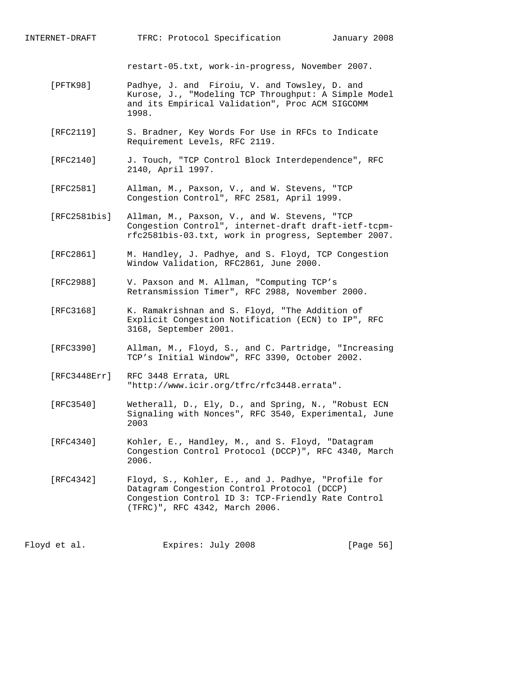INTERNET-DRAFT TFRC: Protocol Specification January 2008

restart-05.txt, work-in-progress, November 2007.

- [PFTK98] Padhye, J. and Firoiu, V. and Towsley, D. and Kurose, J., "Modeling TCP Throughput: A Simple Model and its Empirical Validation", Proc ACM SIGCOMM 1998.
- [RFC2119] S. Bradner, Key Words For Use in RFCs to Indicate Requirement Levels, RFC 2119.
- [RFC2140] J. Touch, "TCP Control Block Interdependence", RFC 2140, April 1997.
- [RFC2581] Allman, M., Paxson, V., and W. Stevens, "TCP Congestion Control", RFC 2581, April 1999.
- [RFC2581bis] Allman, M., Paxson, V., and W. Stevens, "TCP Congestion Control", internet-draft draft-ietf-tcpm rfc2581bis-03.txt, work in progress, September 2007.
- [RFC2861] M. Handley, J. Padhye, and S. Floyd, TCP Congestion Window Validation, RFC2861, June 2000.
- [RFC2988] V. Paxson and M. Allman, "Computing TCP's Retransmission Timer", RFC 2988, November 2000.
- [RFC3168] K. Ramakrishnan and S. Floyd, "The Addition of Explicit Congestion Notification (ECN) to IP", RFC 3168, September 2001.
- [RFC3390] Allman, M., Floyd, S., and C. Partridge, "Increasing TCP's Initial Window", RFC 3390, October 2002.
- [RFC3448Err] RFC 3448 Errata, URL "http://www.icir.org/tfrc/rfc3448.errata".
- [RFC3540] Wetherall, D., Ely, D., and Spring, N., "Robust ECN Signaling with Nonces", RFC 3540, Experimental, June 2003
- [RFC4340] Kohler, E., Handley, M., and S. Floyd, "Datagram Congestion Control Protocol (DCCP)", RFC 4340, March 2006.
- [RFC4342] Floyd, S., Kohler, E., and J. Padhye, "Profile for Datagram Congestion Control Protocol (DCCP) Congestion Control ID 3: TCP-Friendly Rate Control (TFRC)", RFC 4342, March 2006.

Floyd et al. Expires: July 2008 [Page 56]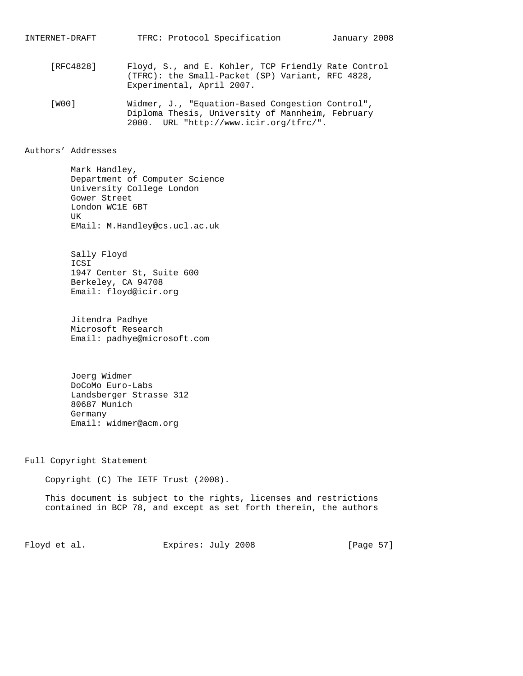- [RFC4828] Floyd, S., and E. Kohler, TCP Friendly Rate Control (TFRC): the Small-Packet (SP) Variant, RFC 4828, Experimental, April 2007.
- [W00] Widmer, J., "Equation-Based Congestion Control", Diploma Thesis, University of Mannheim, February 2000. URL "http://www.icir.org/tfrc/".

### Authors' Addresses

 Mark Handley, Department of Computer Science University College London Gower Street London WC1E 6BT UK EMail: M.Handley@cs.ucl.ac.uk

 Sally Floyd ICSI 1947 Center St, Suite 600 Berkeley, CA 94708 Email: floyd@icir.org

 Jitendra Padhye Microsoft Research Email: padhye@microsoft.com

 Joerg Widmer DoCoMo Euro-Labs Landsberger Strasse 312 80687 Munich Germany Email: widmer@acm.org

Full Copyright Statement

Copyright (C) The IETF Trust (2008).

 This document is subject to the rights, licenses and restrictions contained in BCP 78, and except as set forth therein, the authors

Floyd et al. Expires: July 2008 [Page 57]